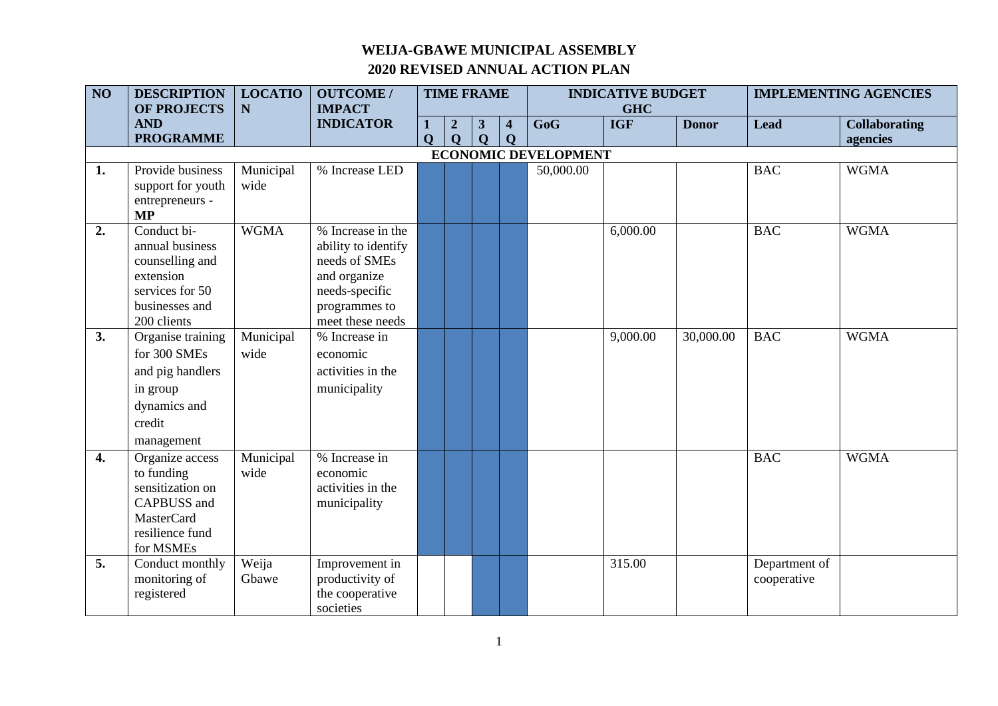| $\overline{NO}$ | <b>DESCRIPTION</b>                      | <b>LOCATIO</b> | <b>OUTCOME/</b>                |              | <b>TIME FRAME</b>                |                   |                                        |                             | <b>INDICATIVE BUDGET</b> |              |               | <b>IMPLEMENTING AGENCIES</b>     |
|-----------------|-----------------------------------------|----------------|--------------------------------|--------------|----------------------------------|-------------------|----------------------------------------|-----------------------------|--------------------------|--------------|---------------|----------------------------------|
|                 | <b>OF PROJECTS</b>                      | $\mathbf N$    | <b>IMPACT</b>                  |              |                                  |                   |                                        |                             | <b>GHC</b>               |              |               |                                  |
|                 | <b>AND</b><br><b>PROGRAMME</b>          |                | <b>INDICATOR</b>               | $\mathbf{O}$ | $\boldsymbol{2}$<br>$\mathbf{Q}$ | 3<br>$\mathbf{Q}$ | $\overline{\mathbf{4}}$<br>$\mathbf Q$ | GoG                         | <b>IGF</b>               | <b>Donor</b> | <b>Lead</b>   | <b>Collaborating</b><br>agencies |
|                 |                                         |                |                                |              |                                  |                   |                                        | <b>ECONOMIC DEVELOPMENT</b> |                          |              |               |                                  |
| 1.              | Provide business                        | Municipal      | % Increase LED                 |              |                                  |                   |                                        | 50,000.00                   |                          |              | <b>BAC</b>    | <b>WGMA</b>                      |
|                 | support for youth                       | wide           |                                |              |                                  |                   |                                        |                             |                          |              |               |                                  |
|                 | entrepreneurs -                         |                |                                |              |                                  |                   |                                        |                             |                          |              |               |                                  |
|                 | <b>MP</b>                               |                |                                |              |                                  |                   |                                        |                             |                          |              |               |                                  |
| 2.              | Conduct bi-                             | <b>WGMA</b>    | % Increase in the              |              |                                  |                   |                                        |                             | 6,000.00                 |              | <b>BAC</b>    | <b>WGMA</b>                      |
|                 | annual business                         |                | ability to identify            |              |                                  |                   |                                        |                             |                          |              |               |                                  |
|                 | counselling and<br>extension            |                | needs of SMEs                  |              |                                  |                   |                                        |                             |                          |              |               |                                  |
|                 | services for 50                         |                | and organize<br>needs-specific |              |                                  |                   |                                        |                             |                          |              |               |                                  |
|                 | businesses and                          |                | programmes to                  |              |                                  |                   |                                        |                             |                          |              |               |                                  |
|                 | 200 clients                             |                | meet these needs               |              |                                  |                   |                                        |                             |                          |              |               |                                  |
| 3.              | Organise training                       | Municipal      | % Increase in                  |              |                                  |                   |                                        |                             | 9,000.00                 | 30,000.00    | <b>BAC</b>    | <b>WGMA</b>                      |
|                 | for 300 SMEs                            | wide           | economic                       |              |                                  |                   |                                        |                             |                          |              |               |                                  |
|                 | and pig handlers                        |                | activities in the              |              |                                  |                   |                                        |                             |                          |              |               |                                  |
|                 | in group                                |                | municipality                   |              |                                  |                   |                                        |                             |                          |              |               |                                  |
|                 | dynamics and                            |                |                                |              |                                  |                   |                                        |                             |                          |              |               |                                  |
|                 | credit                                  |                |                                |              |                                  |                   |                                        |                             |                          |              |               |                                  |
|                 | management                              |                |                                |              |                                  |                   |                                        |                             |                          |              |               |                                  |
| 4.              | Organize access                         | Municipal      | % Increase in                  |              |                                  |                   |                                        |                             |                          |              | <b>BAC</b>    | <b>WGMA</b>                      |
|                 | to funding                              | wide           | economic                       |              |                                  |                   |                                        |                             |                          |              |               |                                  |
|                 | sensitization on                        |                | activities in the              |              |                                  |                   |                                        |                             |                          |              |               |                                  |
|                 | <b>CAPBUSS</b> and<br><b>MasterCard</b> |                | municipality                   |              |                                  |                   |                                        |                             |                          |              |               |                                  |
|                 | resilience fund                         |                |                                |              |                                  |                   |                                        |                             |                          |              |               |                                  |
|                 | for MSMEs                               |                |                                |              |                                  |                   |                                        |                             |                          |              |               |                                  |
| 5.              | Conduct monthly                         | Weija          | Improvement in                 |              |                                  |                   |                                        |                             | 315.00                   |              | Department of |                                  |
|                 | monitoring of                           | Gbawe          | productivity of                |              |                                  |                   |                                        |                             |                          |              | cooperative   |                                  |
|                 | registered                              |                | the cooperative                |              |                                  |                   |                                        |                             |                          |              |               |                                  |
|                 |                                         |                | societies                      |              |                                  |                   |                                        |                             |                          |              |               |                                  |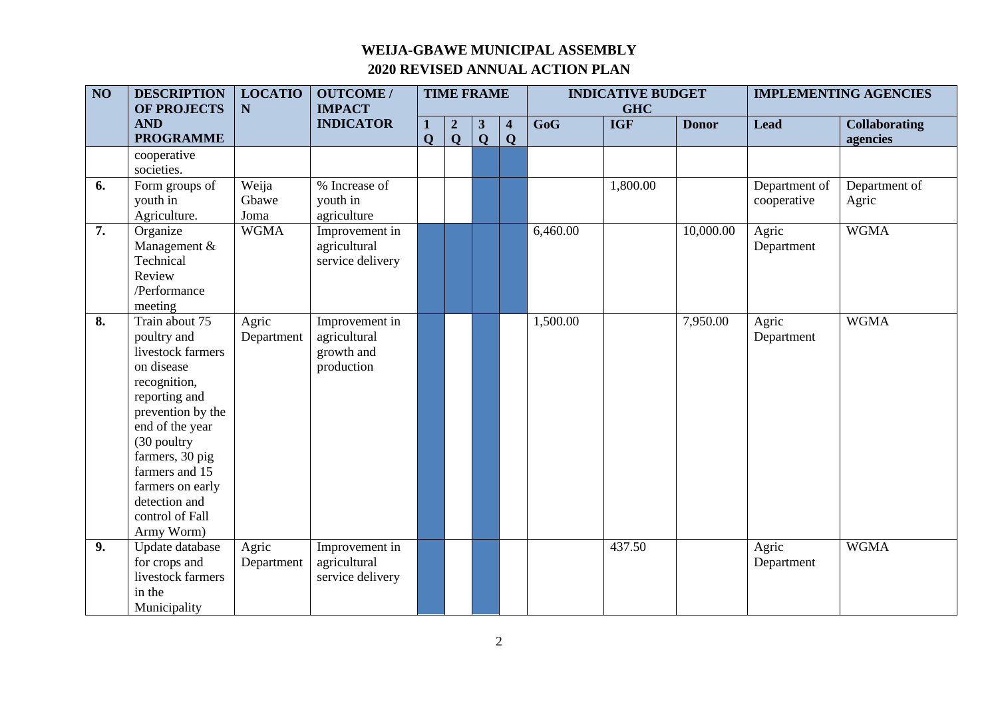| $\overline{NO}$ | <b>DESCRIPTION</b> | <b>LOCATIO</b> | <b>OUTCOME/</b>  | <b>TIME FRAME</b> |                  |              |                         | <b>INDICATIVE BUDGET</b> |            |              | <b>IMPLEMENTING AGENCIES</b> |                      |
|-----------------|--------------------|----------------|------------------|-------------------|------------------|--------------|-------------------------|--------------------------|------------|--------------|------------------------------|----------------------|
|                 | <b>OF PROJECTS</b> | $\mathbf N$    | <b>IMPACT</b>    |                   |                  |              |                         |                          | <b>GHC</b> |              |                              |                      |
|                 | <b>AND</b>         |                | <b>INDICATOR</b> |                   | $\boldsymbol{2}$ | $\mathbf{3}$ | $\overline{\mathbf{4}}$ | GoG                      | <b>IGF</b> | <b>Donor</b> | <b>Lead</b>                  | <b>Collaborating</b> |
|                 | <b>PROGRAMME</b>   |                |                  | $\mathbf{O}$      | $\mathbf Q$      | $\mathbf{Q}$ | Q                       |                          |            |              |                              | agencies             |
|                 | cooperative        |                |                  |                   |                  |              |                         |                          |            |              |                              |                      |
|                 | societies.         |                |                  |                   |                  |              |                         |                          |            |              |                              |                      |
| 6.              | Form groups of     | Weija          | % Increase of    |                   |                  |              |                         |                          | 1,800.00   |              | Department of                | Department of        |
|                 | youth in           | Gbawe          | youth in         |                   |                  |              |                         |                          |            |              | cooperative                  | Agric                |
|                 | Agriculture.       | Joma           | agriculture      |                   |                  |              |                         |                          |            |              |                              |                      |
| 7.              | Organize           | <b>WGMA</b>    | Improvement in   |                   |                  |              |                         | 6,460.00                 |            | 10,000.00    | Agric                        | <b>WGMA</b>          |
|                 | Management &       |                | agricultural     |                   |                  |              |                         |                          |            |              | Department                   |                      |
|                 | Technical          |                | service delivery |                   |                  |              |                         |                          |            |              |                              |                      |
|                 | Review             |                |                  |                   |                  |              |                         |                          |            |              |                              |                      |
|                 | /Performance       |                |                  |                   |                  |              |                         |                          |            |              |                              |                      |
|                 | meeting            |                |                  |                   |                  |              |                         |                          |            |              |                              |                      |
| 8.              | Train about 75     | Agric          | Improvement in   |                   |                  |              |                         | 1,500.00                 |            | 7,950.00     | Agric                        | <b>WGMA</b>          |
|                 | poultry and        | Department     | agricultural     |                   |                  |              |                         |                          |            |              | Department                   |                      |
|                 | livestock farmers  |                | growth and       |                   |                  |              |                         |                          |            |              |                              |                      |
|                 | on disease         |                | production       |                   |                  |              |                         |                          |            |              |                              |                      |
|                 | recognition,       |                |                  |                   |                  |              |                         |                          |            |              |                              |                      |
|                 | reporting and      |                |                  |                   |                  |              |                         |                          |            |              |                              |                      |
|                 | prevention by the  |                |                  |                   |                  |              |                         |                          |            |              |                              |                      |
|                 | end of the year    |                |                  |                   |                  |              |                         |                          |            |              |                              |                      |
|                 | (30 poultry        |                |                  |                   |                  |              |                         |                          |            |              |                              |                      |
|                 | farmers, 30 pig    |                |                  |                   |                  |              |                         |                          |            |              |                              |                      |
|                 | farmers and 15     |                |                  |                   |                  |              |                         |                          |            |              |                              |                      |
|                 | farmers on early   |                |                  |                   |                  |              |                         |                          |            |              |                              |                      |
|                 | detection and      |                |                  |                   |                  |              |                         |                          |            |              |                              |                      |
|                 | control of Fall    |                |                  |                   |                  |              |                         |                          |            |              |                              |                      |
|                 | Army Worm)         |                |                  |                   |                  |              |                         |                          |            |              |                              |                      |
| 9.              | Update database    | Agric          | Improvement in   |                   |                  |              |                         |                          | 437.50     |              | Agric                        | <b>WGMA</b>          |
|                 | for crops and      | Department     | agricultural     |                   |                  |              |                         |                          |            |              | Department                   |                      |
|                 | livestock farmers  |                | service delivery |                   |                  |              |                         |                          |            |              |                              |                      |
|                 | in the             |                |                  |                   |                  |              |                         |                          |            |              |                              |                      |
|                 | Municipality       |                |                  |                   |                  |              |                         |                          |            |              |                              |                      |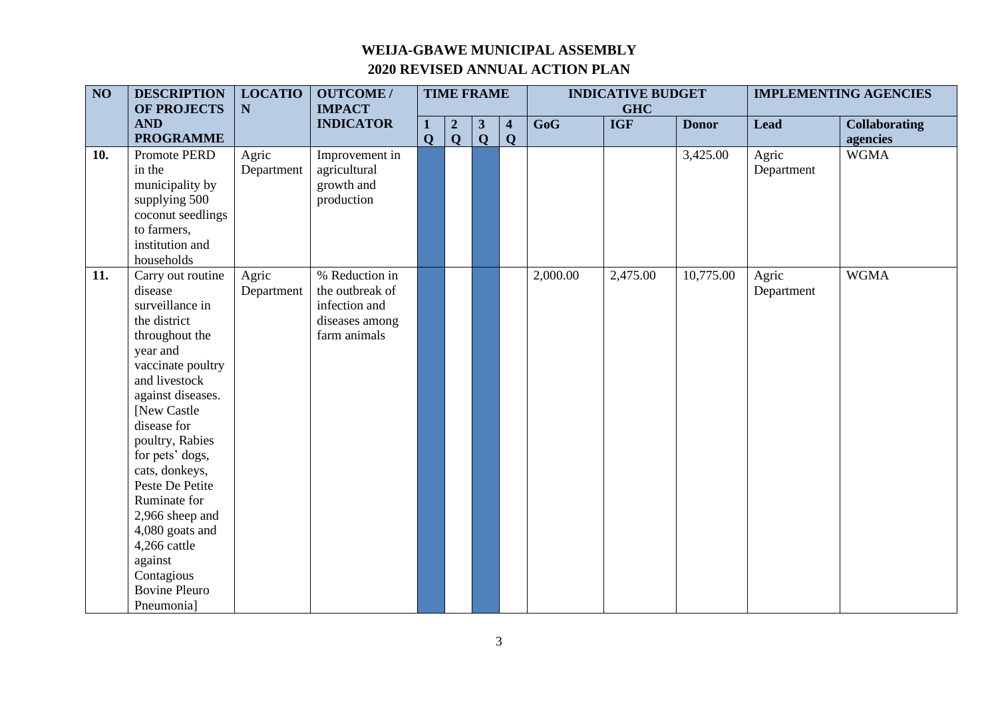| $\overline{NO}$   | <b>DESCRIPTION</b>   | <b>LOCATIO</b> | <b>OUTCOME/</b>  | <b>TIME FRAME</b> |                  |                | <b>INDICATIVE BUDGET</b> |          |            | <b>IMPLEMENTING AGENCIES</b> |             |                      |
|-------------------|----------------------|----------------|------------------|-------------------|------------------|----------------|--------------------------|----------|------------|------------------------------|-------------|----------------------|
|                   | OF PROJECTS          | ${\bf N}$      | <b>IMPACT</b>    |                   |                  |                |                          |          | <b>GHC</b> |                              |             |                      |
|                   | <b>AND</b>           |                | <b>INDICATOR</b> | 1                 | $\boldsymbol{2}$ | $\mathbf{3}$   | $\overline{\mathbf{4}}$  | GoG      | <b>IGF</b> | <b>Donor</b>                 | <b>Lead</b> | <b>Collaborating</b> |
|                   | <b>PROGRAMME</b>     |                |                  | $\mathbf{O}$      | $\mathbf{Q}$     | $\overline{Q}$ | $\mathbf Q$              |          |            |                              |             | agencies             |
| 10.               | Promote PERD         | Agric          | Improvement in   |                   |                  |                |                          |          |            | 3,425.00                     | Agric       | <b>WGMA</b>          |
|                   | in the               | Department     | agricultural     |                   |                  |                |                          |          |            |                              | Department  |                      |
|                   | municipality by      |                | growth and       |                   |                  |                |                          |          |            |                              |             |                      |
|                   | supplying 500        |                | production       |                   |                  |                |                          |          |            |                              |             |                      |
|                   | coconut seedlings    |                |                  |                   |                  |                |                          |          |            |                              |             |                      |
|                   | to farmers,          |                |                  |                   |                  |                |                          |          |            |                              |             |                      |
|                   | institution and      |                |                  |                   |                  |                |                          |          |            |                              |             |                      |
|                   | households           |                |                  |                   |                  |                |                          |          |            |                              |             |                      |
| $\overline{11}$ . | Carry out routine    | Agric          | % Reduction in   |                   |                  |                |                          | 2,000.00 | 2,475.00   | 10,775.00                    | Agric       | <b>WGMA</b>          |
|                   | disease              | Department     | the outbreak of  |                   |                  |                |                          |          |            |                              | Department  |                      |
|                   | surveillance in      |                | infection and    |                   |                  |                |                          |          |            |                              |             |                      |
|                   | the district         |                | diseases among   |                   |                  |                |                          |          |            |                              |             |                      |
|                   | throughout the       |                | farm animals     |                   |                  |                |                          |          |            |                              |             |                      |
|                   | year and             |                |                  |                   |                  |                |                          |          |            |                              |             |                      |
|                   | vaccinate poultry    |                |                  |                   |                  |                |                          |          |            |                              |             |                      |
|                   | and livestock        |                |                  |                   |                  |                |                          |          |            |                              |             |                      |
|                   | against diseases.    |                |                  |                   |                  |                |                          |          |            |                              |             |                      |
|                   | [New Castle]         |                |                  |                   |                  |                |                          |          |            |                              |             |                      |
|                   | disease for          |                |                  |                   |                  |                |                          |          |            |                              |             |                      |
|                   | poultry, Rabies      |                |                  |                   |                  |                |                          |          |            |                              |             |                      |
|                   | for pets' dogs,      |                |                  |                   |                  |                |                          |          |            |                              |             |                      |
|                   | cats, donkeys,       |                |                  |                   |                  |                |                          |          |            |                              |             |                      |
|                   | Peste De Petite      |                |                  |                   |                  |                |                          |          |            |                              |             |                      |
|                   | Ruminate for         |                |                  |                   |                  |                |                          |          |            |                              |             |                      |
|                   | 2,966 sheep and      |                |                  |                   |                  |                |                          |          |            |                              |             |                      |
|                   | 4,080 goats and      |                |                  |                   |                  |                |                          |          |            |                              |             |                      |
|                   | 4,266 cattle         |                |                  |                   |                  |                |                          |          |            |                              |             |                      |
|                   | against              |                |                  |                   |                  |                |                          |          |            |                              |             |                      |
|                   | Contagious           |                |                  |                   |                  |                |                          |          |            |                              |             |                      |
|                   | <b>Bovine Pleuro</b> |                |                  |                   |                  |                |                          |          |            |                              |             |                      |
|                   | Pneumonia]           |                |                  |                   |                  |                |                          |          |            |                              |             |                      |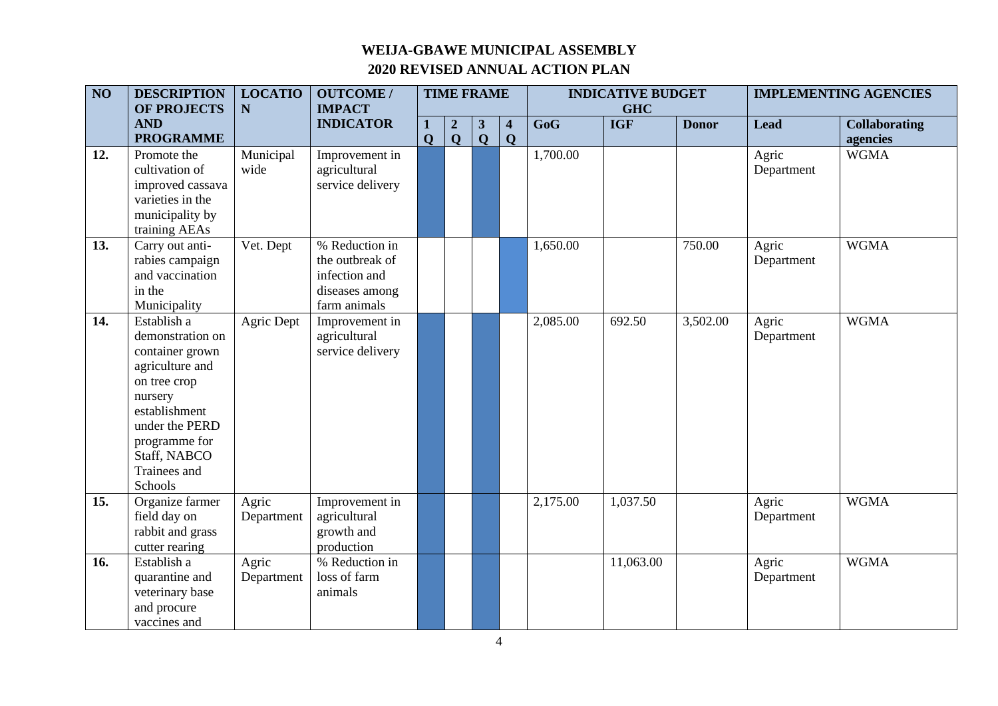| $\overline{NO}$ | <b>DESCRIPTION</b><br><b>OF PROJECTS</b>                                                                                                                                                        | <b>LOCATIO</b><br>$\mathbf N$ | <b>OUTCOME /</b><br><b>IMPACT</b>                                                    | <b>TIME FRAME</b> |                  |              |                         | <b>INDICATIVE BUDGET</b><br><b>GHC</b> |            |              | <b>IMPLEMENTING AGENCIES</b> |                      |
|-----------------|-------------------------------------------------------------------------------------------------------------------------------------------------------------------------------------------------|-------------------------------|--------------------------------------------------------------------------------------|-------------------|------------------|--------------|-------------------------|----------------------------------------|------------|--------------|------------------------------|----------------------|
|                 | <b>AND</b>                                                                                                                                                                                      |                               | <b>INDICATOR</b>                                                                     | 1                 | $\boldsymbol{2}$ | $\mathbf{3}$ | $\overline{\mathbf{4}}$ | $\overline{\text{GoG}}$                | <b>IGF</b> | <b>Donor</b> | <b>Lead</b>                  | <b>Collaborating</b> |
|                 | <b>PROGRAMME</b>                                                                                                                                                                                |                               |                                                                                      | $\mathbf 0$       | $\mathbf 0$      | $\mathbf{Q}$ | $\mathbf 0$             |                                        |            |              |                              | agencies             |
| 12.             | Promote the<br>cultivation of<br>improved cassava<br>varieties in the<br>municipality by<br>training AEAs                                                                                       | Municipal<br>wide             | Improvement in<br>agricultural<br>service delivery                                   |                   |                  |              |                         | 1,700.00                               |            |              | Agric<br>Department          | <b>WGMA</b>          |
| 13.             | Carry out anti-<br>rabies campaign<br>and vaccination<br>in the<br>Municipality                                                                                                                 | Vet. Dept                     | % Reduction in<br>the outbreak of<br>infection and<br>diseases among<br>farm animals |                   |                  |              |                         | 1,650.00                               |            | 750.00       | Agric<br>Department          | <b>WGMA</b>          |
| 14.             | Establish a<br>demonstration on<br>container grown<br>agriculture and<br>on tree crop<br>nursery<br>establishment<br>under the PERD<br>programme for<br>Staff, NABCO<br>Trainees and<br>Schools | Agric Dept                    | Improvement in<br>agricultural<br>service delivery                                   |                   |                  |              |                         | 2,085.00                               | 692.50     | 3,502.00     | Agric<br>Department          | <b>WGMA</b>          |
| 15.             | Organize farmer<br>field day on<br>rabbit and grass<br>cutter rearing                                                                                                                           | Agric<br>Department           | Improvement in<br>agricultural<br>growth and<br>production                           |                   |                  |              |                         | 2,175.00                               | 1,037.50   |              | Agric<br>Department          | <b>WGMA</b>          |
| 16.             | Establish a<br>quarantine and<br>veterinary base<br>and procure<br>vaccines and                                                                                                                 | Agric<br>Department           | % Reduction in<br>loss of farm<br>animals                                            |                   |                  |              |                         |                                        | 11,063.00  |              | Agric<br>Department          | <b>WGMA</b>          |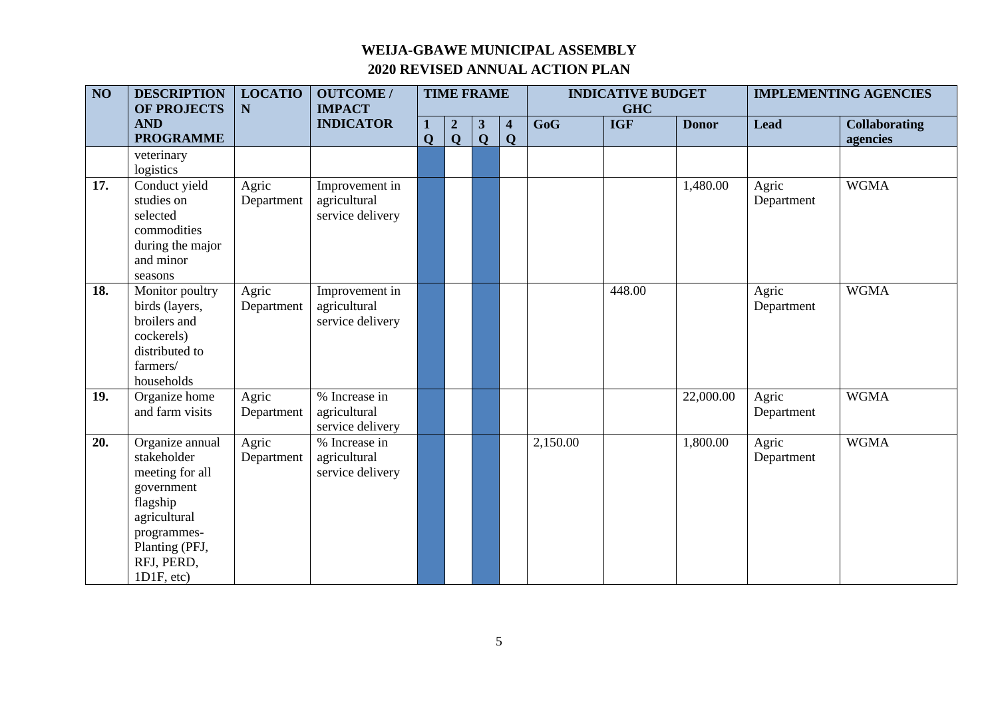| $\overline{NO}$ | <b>DESCRIPTION</b><br><b>OF PROJECTS</b>                                                                                                                 | <b>LOCATIO</b><br>${\bf N}$ | <b>OUTCOME/</b><br><b>IMPACT</b>                   |                  |                                         | <b>TIME FRAME</b>              |                              |          | <b>INDICATIVE BUDGET</b><br><b>GHC</b> |              |                     | <b>IMPLEMENTING AGENCIES</b>     |
|-----------------|----------------------------------------------------------------------------------------------------------------------------------------------------------|-----------------------------|----------------------------------------------------|------------------|-----------------------------------------|--------------------------------|------------------------------|----------|----------------------------------------|--------------|---------------------|----------------------------------|
|                 | <b>AND</b><br><b>PROGRAMME</b>                                                                                                                           |                             | <b>INDICATOR</b>                                   | 1<br>$\mathbf Q$ | $\overline{\mathbf{2}}$<br>$\mathbf{Q}$ | $\mathbf{3}$<br>$\overline{Q}$ | $\overline{\mathbf{4}}$<br>Q | GoG      | <b>IGF</b>                             | <b>Donor</b> | <b>Lead</b>         | <b>Collaborating</b><br>agencies |
|                 | veterinary<br>logistics                                                                                                                                  |                             |                                                    |                  |                                         |                                |                              |          |                                        |              |                     |                                  |
| 17.             | Conduct yield<br>studies on<br>selected<br>commodities<br>during the major<br>and minor<br>seasons                                                       | Agric<br>Department         | Improvement in<br>agricultural<br>service delivery |                  |                                         |                                |                              |          |                                        | 1,480.00     | Agric<br>Department | <b>WGMA</b>                      |
| 18.             | Monitor poultry<br>birds (layers,<br>broilers and<br>cockerels)<br>distributed to<br>farmers/<br>households                                              | Agric<br>Department         | Improvement in<br>agricultural<br>service delivery |                  |                                         |                                |                              |          | 448.00                                 |              | Agric<br>Department | <b>WGMA</b>                      |
| 19.             | Organize home<br>and farm visits                                                                                                                         | Agric<br>Department         | % Increase in<br>agricultural<br>service delivery  |                  |                                         |                                |                              |          |                                        | 22,000.00    | Agric<br>Department | <b>WGMA</b>                      |
| 20.             | Organize annual<br>stakeholder<br>meeting for all<br>government<br>flagship<br>agricultural<br>programmes-<br>Planting (PFJ,<br>RFJ, PERD,<br>1D1F, etc. | Agric<br>Department         | % Increase in<br>agricultural<br>service delivery  |                  |                                         |                                |                              | 2,150.00 |                                        | 1,800.00     | Agric<br>Department | <b>WGMA</b>                      |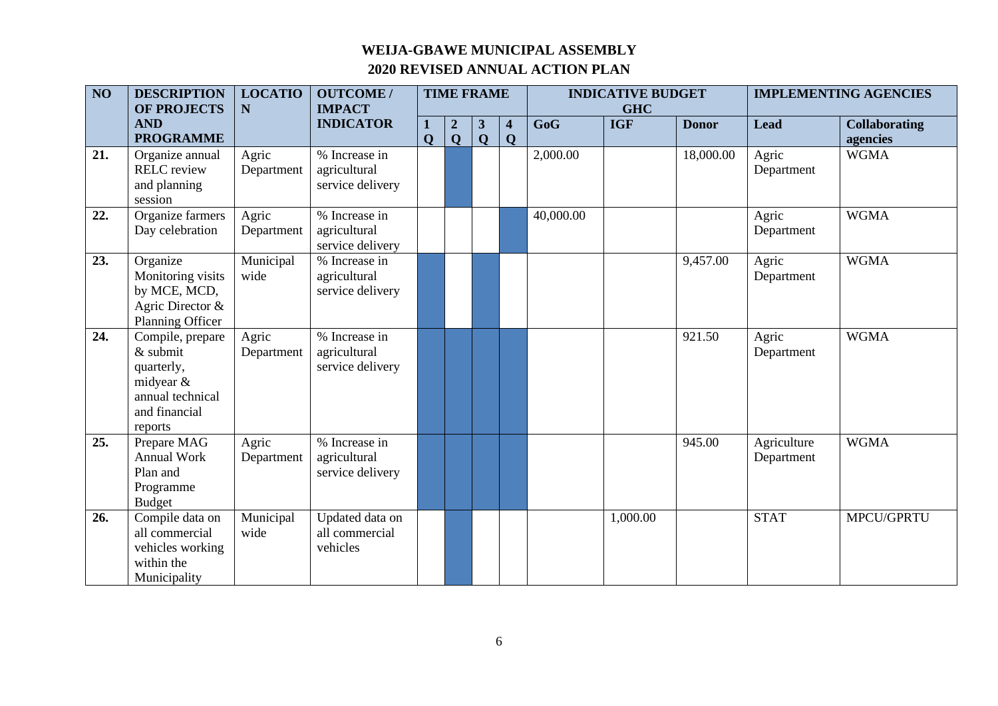| $\overline{NO}$ | <b>DESCRIPTION</b><br><b>OF PROJECTS</b>                                                                  | <b>LOCATIO</b><br>N | <b>OUTCOME/</b><br><b>IMPACT</b>                  | <b>TIME FRAME</b> |                                  |                              |                              |           | <b>INDICATIVE BUDGET</b><br><b>GHC</b> |              |                           | <b>IMPLEMENTING AGENCIES</b>     |
|-----------------|-----------------------------------------------------------------------------------------------------------|---------------------|---------------------------------------------------|-------------------|----------------------------------|------------------------------|------------------------------|-----------|----------------------------------------|--------------|---------------------------|----------------------------------|
|                 | <b>AND</b><br><b>PROGRAMME</b>                                                                            |                     | <b>INDICATOR</b>                                  | 1<br>$\mathbf 0$  | $\boldsymbol{2}$<br>$\mathbf{Q}$ | $\mathbf{3}$<br>$\mathbf{Q}$ | $\overline{\mathbf{4}}$<br>Q | GoG       | <b>IGF</b>                             | <b>Donor</b> | <b>Lead</b>               | <b>Collaborating</b><br>agencies |
| 21.             | Organize annual<br><b>RELC</b> review<br>and planning<br>session                                          | Agric<br>Department | % Increase in<br>agricultural<br>service delivery |                   |                                  |                              |                              | 2,000.00  |                                        | 18,000.00    | Agric<br>Department       | <b>WGMA</b>                      |
| 22.             | Organize farmers<br>Day celebration                                                                       | Agric<br>Department | % Increase in<br>agricultural<br>service delivery |                   |                                  |                              |                              | 40,000.00 |                                        |              | Agric<br>Department       | <b>WGMA</b>                      |
| 23.             | Organize<br>Monitoring visits<br>by MCE, MCD,<br>Agric Director &<br>Planning Officer                     | Municipal<br>wide   | % Increase in<br>agricultural<br>service delivery |                   |                                  |                              |                              |           |                                        | 9,457.00     | Agric<br>Department       | <b>WGMA</b>                      |
| 24.             | Compile, prepare<br>$&$ submit<br>quarterly,<br>midyear &<br>annual technical<br>and financial<br>reports | Agric<br>Department | % Increase in<br>agricultural<br>service delivery |                   |                                  |                              |                              |           |                                        | 921.50       | Agric<br>Department       | <b>WGMA</b>                      |
| 25.             | Prepare MAG<br><b>Annual Work</b><br>Plan and<br>Programme<br><b>Budget</b>                               | Agric<br>Department | % Increase in<br>agricultural<br>service delivery |                   |                                  |                              |                              |           |                                        | 945.00       | Agriculture<br>Department | <b>WGMA</b>                      |
| 26.             | Compile data on<br>all commercial<br>vehicles working<br>within the<br>Municipality                       | Municipal<br>wide   | Updated data on<br>all commercial<br>vehicles     |                   |                                  |                              |                              |           | 1,000.00                               |              | <b>STAT</b>               | MPCU/GPRTU                       |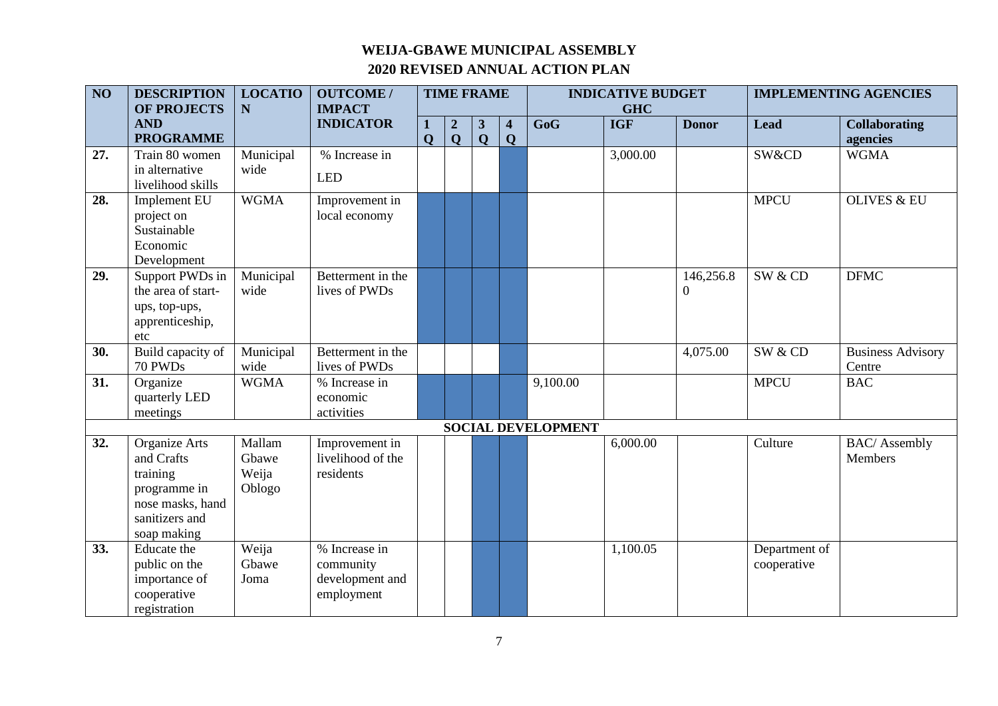| $\overline{NO}$ | <b>DESCRIPTION</b>                  | <b>LOCATIO</b> | <b>OUTCOME/</b>   | <b>TIME FRAME</b> |                  |                |                         | <b>INDICATIVE BUDGET</b>  |            |              | <b>IMPLEMENTING AGENCIES</b> |                          |
|-----------------|-------------------------------------|----------------|-------------------|-------------------|------------------|----------------|-------------------------|---------------------------|------------|--------------|------------------------------|--------------------------|
|                 | <b>OF PROJECTS</b>                  | N              | <b>IMPACT</b>     |                   |                  |                |                         |                           | <b>GHC</b> |              |                              |                          |
|                 | <b>AND</b><br><b>PROGRAMME</b>      |                | <b>INDICATOR</b>  | 1                 | $\boldsymbol{2}$ | 3              | $\overline{\mathbf{4}}$ | $\overline{\text{GoG}}$   | <b>IGF</b> | <b>Donor</b> | <b>Lead</b>                  | <b>Collaborating</b>     |
|                 |                                     |                |                   | $\mathbf{O}$      | $\mathbf Q$      | $\overline{Q}$ | $\mathbf Q$             |                           |            |              |                              | agencies                 |
| 27.             | Train 80 women                      | Municipal      | % Increase in     |                   |                  |                |                         |                           | 3,000.00   |              | SW&CD                        | <b>WGMA</b>              |
|                 | in alternative<br>livelihood skills | wide           | <b>LED</b>        |                   |                  |                |                         |                           |            |              |                              |                          |
| 28.             | <b>Implement EU</b>                 | <b>WGMA</b>    | Improvement in    |                   |                  |                |                         |                           |            |              | <b>MPCU</b>                  | <b>OLIVES &amp; EU</b>   |
|                 | project on                          |                | local economy     |                   |                  |                |                         |                           |            |              |                              |                          |
|                 | Sustainable                         |                |                   |                   |                  |                |                         |                           |            |              |                              |                          |
|                 | Economic                            |                |                   |                   |                  |                |                         |                           |            |              |                              |                          |
|                 | Development                         |                |                   |                   |                  |                |                         |                           |            |              |                              |                          |
| 29.             | Support PWDs in                     | Municipal      | Betterment in the |                   |                  |                |                         |                           |            | 146,256.8    | SW & CD                      | <b>DFMC</b>              |
|                 | the area of start-                  | wide           | lives of PWDs     |                   |                  |                |                         |                           |            | $\theta$     |                              |                          |
|                 | ups, top-ups,                       |                |                   |                   |                  |                |                         |                           |            |              |                              |                          |
|                 | apprenticeship,                     |                |                   |                   |                  |                |                         |                           |            |              |                              |                          |
|                 | etc                                 |                |                   |                   |                  |                |                         |                           |            |              |                              |                          |
| 30.             | Build capacity of                   | Municipal      | Betterment in the |                   |                  |                |                         |                           |            | 4,075.00     | SW & CD                      | <b>Business Advisory</b> |
|                 | 70 PWDs                             | wide           | lives of PWDs     |                   |                  |                |                         |                           |            |              |                              | Centre                   |
| 31.             | Organize                            | <b>WGMA</b>    | % Increase in     |                   |                  |                |                         | 9,100.00                  |            |              | <b>MPCU</b>                  | <b>BAC</b>               |
|                 | quarterly LED                       |                | economic          |                   |                  |                |                         |                           |            |              |                              |                          |
|                 | meetings                            |                | activities        |                   |                  |                |                         |                           |            |              |                              |                          |
|                 |                                     |                |                   |                   |                  |                |                         | <b>SOCIAL DEVELOPMENT</b> |            |              |                              |                          |
| 32.             | Organize Arts                       | Mallam         | Improvement in    |                   |                  |                |                         |                           | 6,000.00   |              | Culture                      | <b>BAC/</b> Assembly     |
|                 | and Crafts                          | Gbawe          | livelihood of the |                   |                  |                |                         |                           |            |              |                              | Members                  |
|                 | training                            | Weija          | residents         |                   |                  |                |                         |                           |            |              |                              |                          |
|                 | programme in                        | Oblogo         |                   |                   |                  |                |                         |                           |            |              |                              |                          |
|                 | nose masks, hand                    |                |                   |                   |                  |                |                         |                           |            |              |                              |                          |
|                 | sanitizers and                      |                |                   |                   |                  |                |                         |                           |            |              |                              |                          |
|                 | soap making                         |                |                   |                   |                  |                |                         |                           |            |              |                              |                          |
| 33.             | <b>Educate</b> the                  | Weija          | % Increase in     |                   |                  |                |                         |                           | 1,100.05   |              | Department of                |                          |
|                 | public on the                       | Gbawe          | community         |                   |                  |                |                         |                           |            |              | cooperative                  |                          |
|                 | importance of                       | Joma           | development and   |                   |                  |                |                         |                           |            |              |                              |                          |
|                 | cooperative                         |                | employment        |                   |                  |                |                         |                           |            |              |                              |                          |
|                 | registration                        |                |                   |                   |                  |                |                         |                           |            |              |                              |                          |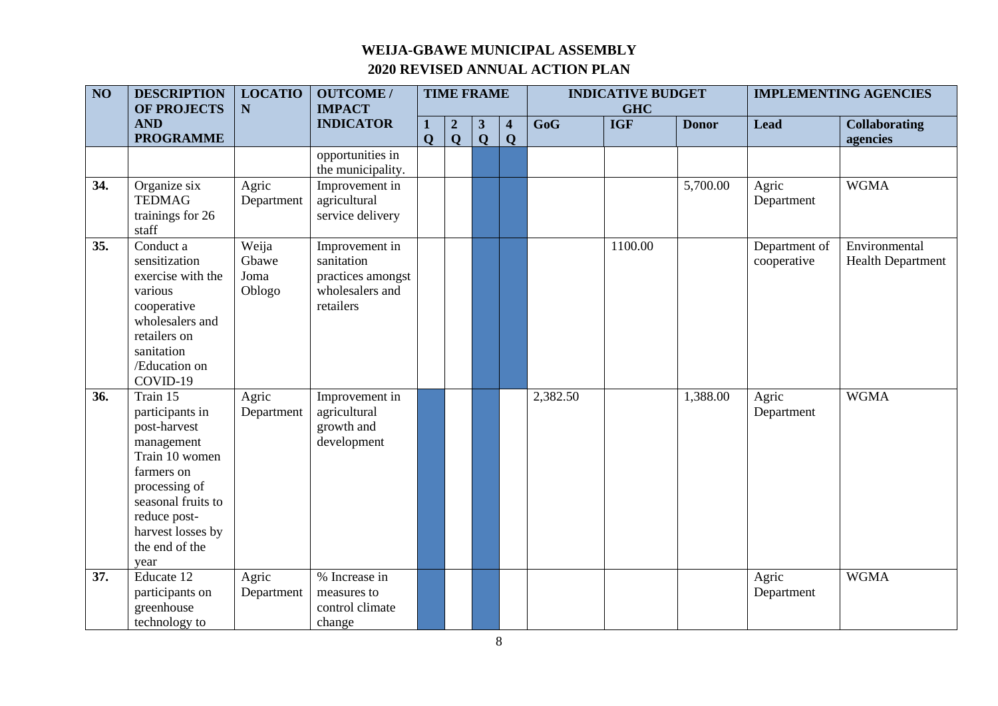| $\overline{NO}$ | <b>DESCRIPTION</b><br><b>OF PROJECTS</b>                                                                                                                                                        | <b>LOCATIO</b><br>$\mathbf N$    | <b>OUTCOME /</b><br><b>IMPACT</b>                                                 | <b>TIME FRAME</b> |                                 |                              |                                        | <b>INDICATIVE BUDGET</b><br><b>GHC</b> |            |              | <b>IMPLEMENTING AGENCIES</b> |                                           |
|-----------------|-------------------------------------------------------------------------------------------------------------------------------------------------------------------------------------------------|----------------------------------|-----------------------------------------------------------------------------------|-------------------|---------------------------------|------------------------------|----------------------------------------|----------------------------------------|------------|--------------|------------------------------|-------------------------------------------|
|                 | <b>AND</b><br><b>PROGRAMME</b>                                                                                                                                                                  |                                  | <b>INDICATOR</b>                                                                  | 1<br>$\mathbf{O}$ | $\boldsymbol{2}$<br>$\mathbf Q$ | $\mathbf{3}$<br>$\mathbf{Q}$ | $\overline{\mathbf{4}}$<br>$\mathbf Q$ | $\overline{\text{GoG}}$                | <b>IGF</b> | <b>Donor</b> | <b>Lead</b>                  | <b>Collaborating</b><br>agencies          |
|                 |                                                                                                                                                                                                 |                                  | opportunities in<br>the municipality.                                             |                   |                                 |                              |                                        |                                        |            |              |                              |                                           |
| 34.             | Organize six<br><b>TEDMAG</b><br>trainings for 26<br>staff                                                                                                                                      | Agric<br>Department              | Improvement in<br>agricultural<br>service delivery                                |                   |                                 |                              |                                        |                                        |            | 5,700.00     | Agric<br>Department          | <b>WGMA</b>                               |
| 35.             | Conduct a<br>sensitization<br>exercise with the<br>various<br>cooperative<br>wholesalers and<br>retailers on<br>sanitation<br>/Education on<br>COVID-19                                         | Weija<br>Gbawe<br>Joma<br>Oblogo | Improvement in<br>sanitation<br>practices amongst<br>wholesalers and<br>retailers |                   |                                 |                              |                                        |                                        | 1100.00    |              | Department of<br>cooperative | Environmental<br><b>Health Department</b> |
| 36.             | Train 15<br>participants in<br>post-harvest<br>management<br>Train 10 women<br>farmers on<br>processing of<br>seasonal fruits to<br>reduce post-<br>harvest losses by<br>the end of the<br>year | Agric<br>Department              | Improvement in<br>agricultural<br>growth and<br>development                       |                   |                                 |                              |                                        | 2,382.50                               |            | 1,388.00     | Agric<br>Department          | <b>WGMA</b>                               |
| 37.             | Educate 12<br>participants on<br>greenhouse<br>technology to                                                                                                                                    | Agric<br>Department              | % Increase in<br>measures to<br>control climate<br>change                         |                   |                                 |                              |                                        |                                        |            |              | Agric<br>Department          | <b>WGMA</b>                               |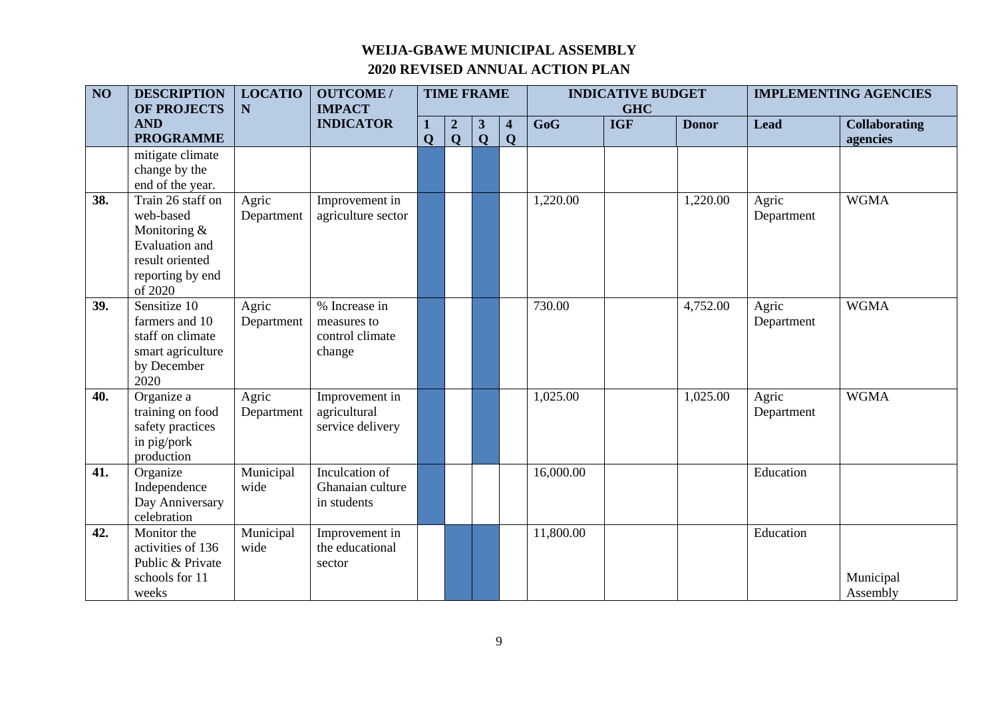| $\overline{NO}$ | <b>DESCRIPTION</b><br><b>OF PROJECTS</b>                                                                           | <b>LOCATIO</b><br>N | <b>OUTCOME/</b><br><b>IMPACT</b>                          |              | <b>TIME FRAME</b>                |                                |                                        |           | <b>INDICATIVE BUDGET</b><br><b>GHC</b> |              |                     | <b>IMPLEMENTING AGENCIES</b>     |
|-----------------|--------------------------------------------------------------------------------------------------------------------|---------------------|-----------------------------------------------------------|--------------|----------------------------------|--------------------------------|----------------------------------------|-----------|----------------------------------------|--------------|---------------------|----------------------------------|
|                 | <b>AND</b><br><b>PROGRAMME</b>                                                                                     |                     | <b>INDICATOR</b>                                          | $\mathbf{O}$ | $\boldsymbol{2}$<br>$\mathbf{O}$ | $\mathbf{3}$<br>$\overline{Q}$ | $\overline{\mathbf{4}}$<br>$\mathbf Q$ | GoG       | <b>IGF</b>                             | <b>Donor</b> | <b>Lead</b>         | <b>Collaborating</b><br>agencies |
|                 | mitigate climate<br>change by the<br>end of the year.                                                              |                     |                                                           |              |                                  |                                |                                        |           |                                        |              |                     |                                  |
| 38.             | Train 26 staff on<br>web-based<br>Monitoring &<br>Evaluation and<br>result oriented<br>reporting by end<br>of 2020 | Agric<br>Department | Improvement in<br>agriculture sector                      |              |                                  |                                |                                        | 1,220.00  |                                        | 1,220.00     | Agric<br>Department | <b>WGMA</b>                      |
| 39.             | Sensitize 10<br>farmers and 10<br>staff on climate<br>smart agriculture<br>by December<br>2020                     | Agric<br>Department | % Increase in<br>measures to<br>control climate<br>change |              |                                  |                                |                                        | 730.00    |                                        | 4,752.00     | Agric<br>Department | <b>WGMA</b>                      |
| 40.             | Organize a<br>training on food<br>safety practices<br>in pig/pork<br>production                                    | Agric<br>Department | Improvement in<br>agricultural<br>service delivery        |              |                                  |                                |                                        | 1,025.00  |                                        | 1,025.00     | Agric<br>Department | <b>WGMA</b>                      |
| 41.             | Organize<br>Independence<br>Day Anniversary<br>celebration                                                         | Municipal<br>wide   | Inculcation of<br>Ghanaian culture<br>in students         |              |                                  |                                |                                        | 16,000.00 |                                        |              | Education           |                                  |
| 42.             | Monitor the<br>activities of 136<br>Public & Private<br>schools for 11<br>weeks                                    | Municipal<br>wide   | Improvement in<br>the educational<br>sector               |              |                                  |                                |                                        | 11,800.00 |                                        |              | Education           | Municipal<br>Assembly            |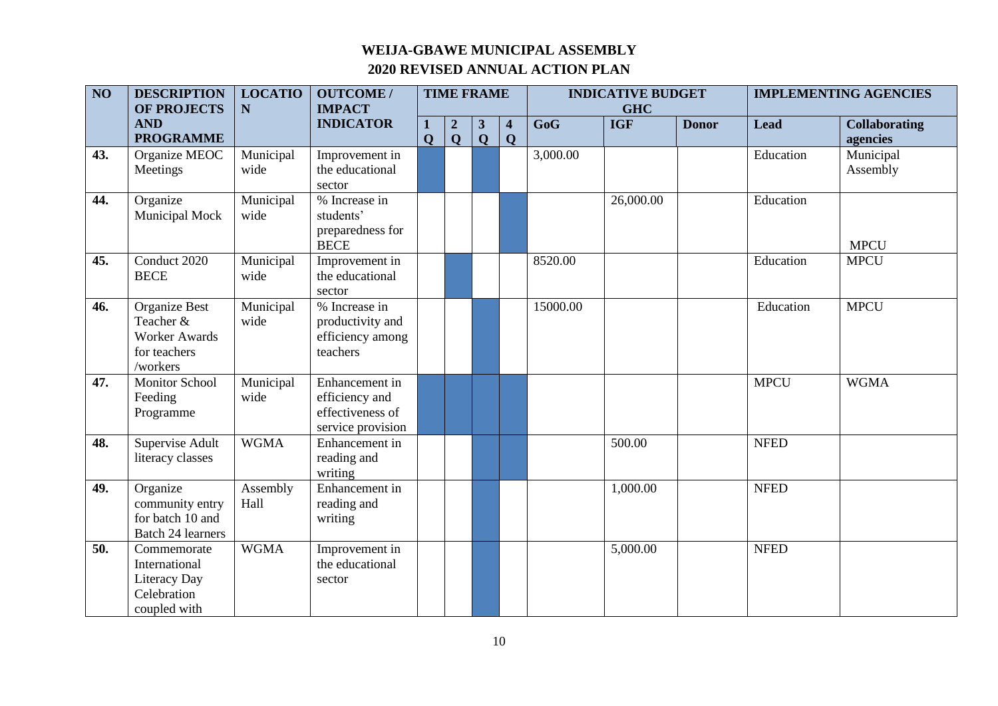| $\overline{NO}$ | <b>DESCRIPTION</b><br>OF PROJECTS                                              | <b>LOCATIO</b><br>N | <b>OUTCOME/</b><br><b>IMPACT</b>                                          | <b>TIME FRAME</b><br><b>INDICATIVE BUDGET</b><br><b>GHC</b> |                                  |                                         |                                        |          | <b>IMPLEMENTING AGENCIES</b> |              |             |                                  |
|-----------------|--------------------------------------------------------------------------------|---------------------|---------------------------------------------------------------------------|-------------------------------------------------------------|----------------------------------|-----------------------------------------|----------------------------------------|----------|------------------------------|--------------|-------------|----------------------------------|
|                 | <b>AND</b><br><b>PROGRAMME</b>                                                 |                     | <b>INDICATOR</b>                                                          | $\mathbf 0$                                                 | $\boldsymbol{2}$<br>$\mathbf{Q}$ | $\mathbf{3}$<br>$\overline{\mathbf{Q}}$ | $\overline{\mathbf{4}}$<br>$\mathbf 0$ | GoG      | <b>IGF</b>                   | <b>Donor</b> | <b>Lead</b> | <b>Collaborating</b><br>agencies |
| 43.             | Organize MEOC<br>Meetings                                                      | Municipal<br>wide   | Improvement in<br>the educational<br>sector                               |                                                             |                                  |                                         |                                        | 3,000.00 |                              |              | Education   | Municipal<br>Assembly            |
| 44.             | Organize<br>Municipal Mock                                                     | Municipal<br>wide   | % Increase in<br>students'<br>preparedness for<br><b>BECE</b>             |                                                             |                                  |                                         |                                        |          | 26,000.00                    |              | Education   | <b>MPCU</b>                      |
| 45.             | Conduct 2020<br><b>BECE</b>                                                    | Municipal<br>wide   | Improvement in<br>the educational<br>sector                               |                                                             |                                  |                                         |                                        | 8520.00  |                              |              | Education   | <b>MPCU</b>                      |
| 46.             | Organize Best<br>Teacher &<br><b>Worker Awards</b><br>for teachers<br>/workers | Municipal<br>wide   | % Increase in<br>productivity and<br>efficiency among<br>teachers         |                                                             |                                  |                                         |                                        | 15000.00 |                              |              | Education   | <b>MPCU</b>                      |
| 47.             | <b>Monitor School</b><br>Feeding<br>Programme                                  | Municipal<br>wide   | Enhancement in<br>efficiency and<br>effectiveness of<br>service provision |                                                             |                                  |                                         |                                        |          |                              |              | <b>MPCU</b> | <b>WGMA</b>                      |
| 48.             | Supervise Adult<br>literacy classes                                            | <b>WGMA</b>         | Enhancement in<br>reading and<br>writing                                  |                                                             |                                  |                                         |                                        |          | 500.00                       |              | <b>NFED</b> |                                  |
| 49.             | Organize<br>community entry<br>for batch 10 and<br>Batch 24 learners           | Assembly<br>Hall    | Enhancement in<br>reading and<br>writing                                  |                                                             |                                  |                                         |                                        |          | 1,000.00                     |              | <b>NFED</b> |                                  |
| 50.             | Commemorate<br>International<br>Literacy Day<br>Celebration<br>coupled with    | <b>WGMA</b>         | Improvement in<br>the educational<br>sector                               |                                                             |                                  |                                         |                                        |          | 5,000.00                     |              | <b>NFED</b> |                                  |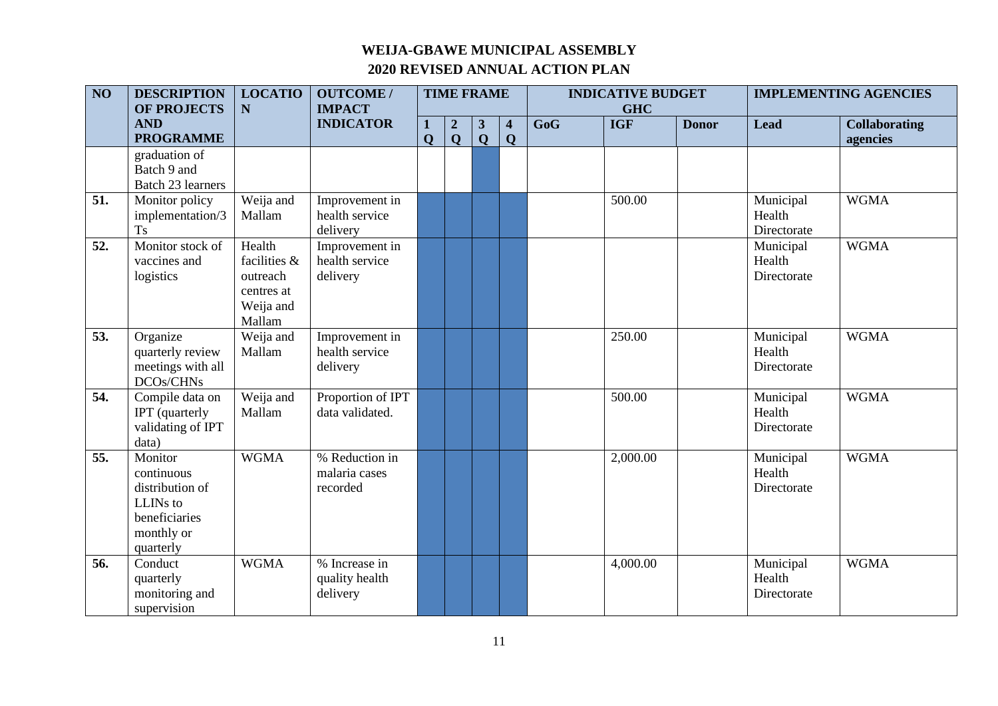| $\overline{NO}$ | <b>DESCRIPTION</b>                                                                               | <b>LOCATIO</b>                                                          | <b>OUTCOME/</b><br><b>IMPACT</b>             | <b>TIME FRAME</b> |                                 |                   |                   | <b>INDICATIVE BUDGET</b> |                          |              | <b>IMPLEMENTING AGENCIES</b>       |                                  |
|-----------------|--------------------------------------------------------------------------------------------------|-------------------------------------------------------------------------|----------------------------------------------|-------------------|---------------------------------|-------------------|-------------------|--------------------------|--------------------------|--------------|------------------------------------|----------------------------------|
|                 | <b>OF PROJECTS</b><br><b>AND</b><br><b>PROGRAMME</b>                                             | $\mathbf N$                                                             | <b>INDICATOR</b>                             | 1<br>$\mathbf 0$  | $\boldsymbol{2}$<br>$\mathbf Q$ | 3<br>$\mathbf{Q}$ | 4<br>$\mathbf{O}$ | GoG                      | <b>GHC</b><br><b>IGF</b> | <b>Donor</b> | <b>Lead</b>                        | <b>Collaborating</b><br>agencies |
|                 | graduation of<br>Batch 9 and<br>Batch 23 learners                                                |                                                                         |                                              |                   |                                 |                   |                   |                          |                          |              |                                    |                                  |
| 51.             | Monitor policy<br>implementation/3<br><b>Ts</b>                                                  | Weija and<br>Mallam                                                     | Improvement in<br>health service<br>delivery |                   |                                 |                   |                   |                          | 500.00                   |              | Municipal<br>Health<br>Directorate | <b>WGMA</b>                      |
| 52.             | Monitor stock of<br>vaccines and<br>logistics                                                    | Health<br>facilities &<br>outreach<br>centres at<br>Weija and<br>Mallam | Improvement in<br>health service<br>delivery |                   |                                 |                   |                   |                          |                          |              | Municipal<br>Health<br>Directorate | <b>WGMA</b>                      |
| 53.             | Organize<br>quarterly review<br>meetings with all<br>DCOs/CHNs                                   | Weija and<br>Mallam                                                     | Improvement in<br>health service<br>delivery |                   |                                 |                   |                   |                          | 250.00                   |              | Municipal<br>Health<br>Directorate | <b>WGMA</b>                      |
| 54.             | Compile data on<br>IPT (quarterly<br>validating of IPT<br>data)                                  | Weija and<br>Mallam                                                     | Proportion of IPT<br>data validated.         |                   |                                 |                   |                   |                          | 500.00                   |              | Municipal<br>Health<br>Directorate | <b>WGMA</b>                      |
| 55.             | Monitor<br>continuous<br>distribution of<br>LLINs to<br>beneficiaries<br>monthly or<br>quarterly | <b>WGMA</b>                                                             | % Reduction in<br>malaria cases<br>recorded  |                   |                                 |                   |                   |                          | 2,000.00                 |              | Municipal<br>Health<br>Directorate | <b>WGMA</b>                      |
| 56.             | Conduct<br>quarterly<br>monitoring and<br>supervision                                            | <b>WGMA</b>                                                             | % Increase in<br>quality health<br>delivery  |                   |                                 |                   |                   |                          | 4,000.00                 |              | Municipal<br>Health<br>Directorate | <b>WGMA</b>                      |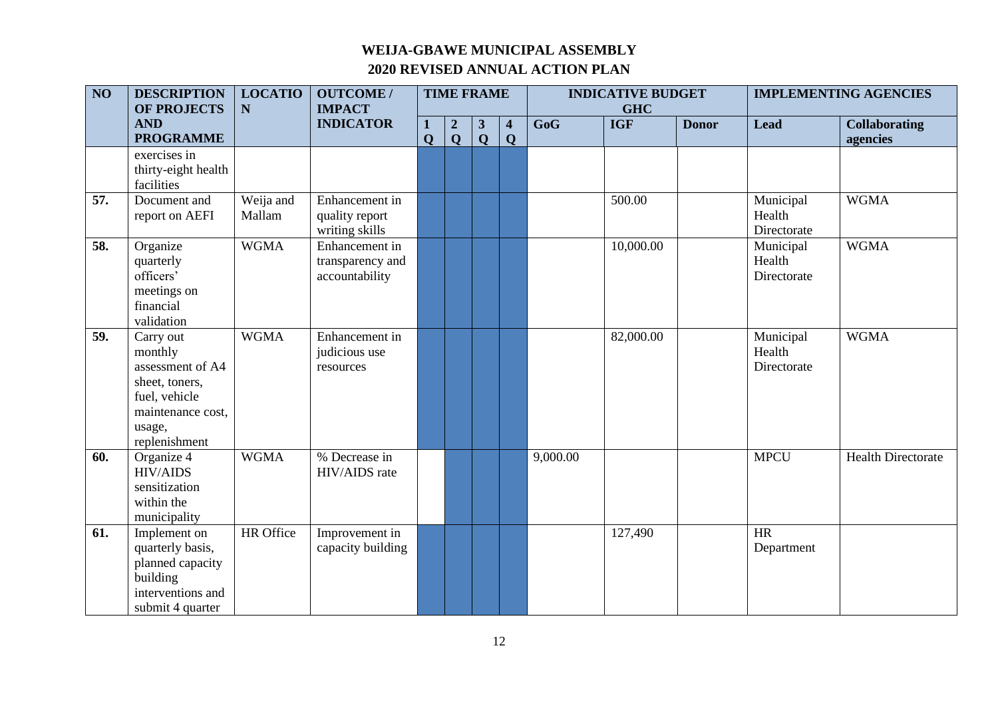| $\overline{NO}$ | <b>DESCRIPTION</b><br><b>OF PROJECTS</b>                                                                                    | <b>LOCATIO</b><br>N | <b>OUTCOME/</b><br><b>IMPACT</b>                     | <b>TIME FRAME</b> |                                 |                              |                                        | <b>INDICATIVE BUDGET</b><br><b>GHC</b> |            |              | <b>IMPLEMENTING AGENCIES</b>       |                                  |
|-----------------|-----------------------------------------------------------------------------------------------------------------------------|---------------------|------------------------------------------------------|-------------------|---------------------------------|------------------------------|----------------------------------------|----------------------------------------|------------|--------------|------------------------------------|----------------------------------|
|                 | <b>AND</b><br><b>PROGRAMME</b>                                                                                              |                     | <b>INDICATOR</b>                                     | $\mathbf Q$       | $\boldsymbol{2}$<br>$\mathbf Q$ | $\mathbf{3}$<br>$\mathbf{Q}$ | $\overline{\mathbf{4}}$<br>$\mathbf Q$ | GoG                                    | <b>IGF</b> | <b>Donor</b> | <b>Lead</b>                        | <b>Collaborating</b><br>agencies |
|                 | exercises in<br>thirty-eight health<br>facilities                                                                           |                     |                                                      |                   |                                 |                              |                                        |                                        |            |              |                                    |                                  |
| 57.             | Document and<br>report on AEFI                                                                                              | Weija and<br>Mallam | Enhancement in<br>quality report<br>writing skills   |                   |                                 |                              |                                        |                                        | 500.00     |              | Municipal<br>Health<br>Directorate | <b>WGMA</b>                      |
| 58.             | Organize<br>quarterly<br>officers'<br>meetings on<br>financial<br>validation                                                | <b>WGMA</b>         | Enhancement in<br>transparency and<br>accountability |                   |                                 |                              |                                        |                                        | 10,000.00  |              | Municipal<br>Health<br>Directorate | <b>WGMA</b>                      |
| 59.             | Carry out<br>monthly<br>assessment of A4<br>sheet, toners,<br>fuel, vehicle<br>maintenance cost,<br>usage,<br>replenishment | <b>WGMA</b>         | Enhancement in<br>judicious use<br>resources         |                   |                                 |                              |                                        |                                        | 82,000.00  |              | Municipal<br>Health<br>Directorate | <b>WGMA</b>                      |
| 60.             | Organize 4<br><b>HIV/AIDS</b><br>sensitization<br>within the<br>municipality                                                | <b>WGMA</b>         | % Decrease in<br>HIV/AIDS rate                       |                   |                                 |                              |                                        | 9,000.00                               |            |              | <b>MPCU</b>                        | <b>Health Directorate</b>        |
| 61.             | Implement on<br>quarterly basis,<br>planned capacity<br>building<br>interventions and<br>submit 4 quarter                   | HR Office           | Improvement in<br>capacity building                  |                   |                                 |                              |                                        |                                        | 127,490    |              | <b>HR</b><br>Department            |                                  |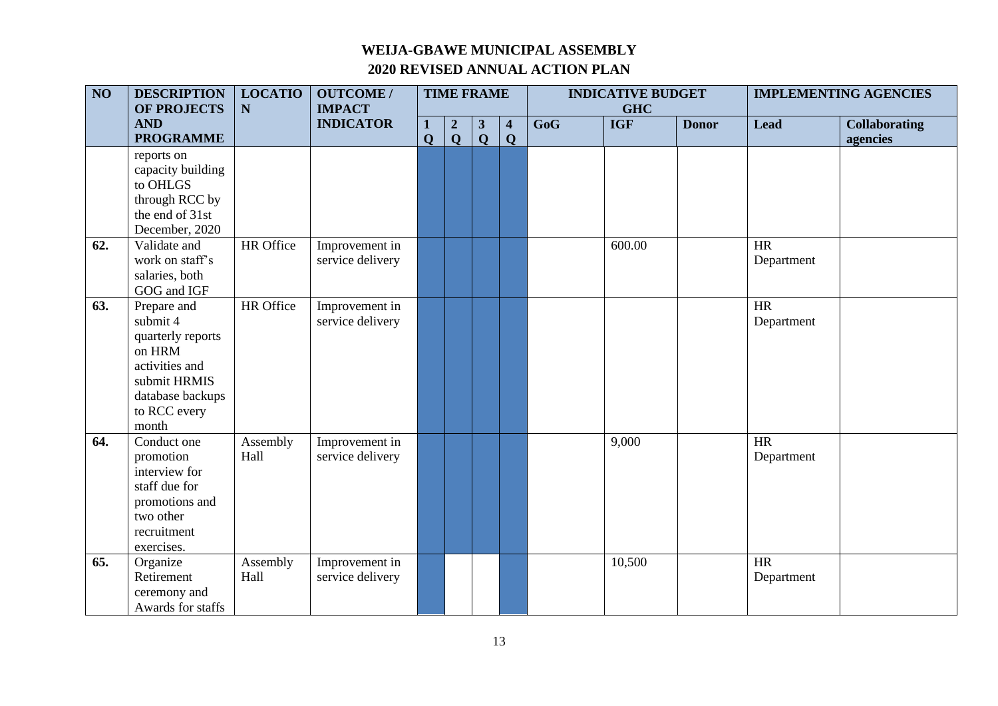| $\overline{NO}$ | <b>DESCRIPTION</b><br><b>OF PROJECTS</b>                                                                                              | <b>LOCATIO</b><br>$\mathbf N$ | <b>OUTCOME /</b><br><b>IMPACT</b>  | <b>TIME FRAME</b> |                                 |                              |                                        | <b>INDICATIVE BUDGET</b><br><b>GHC</b> |            |              | <b>IMPLEMENTING AGENCIES</b> |                                  |
|-----------------|---------------------------------------------------------------------------------------------------------------------------------------|-------------------------------|------------------------------------|-------------------|---------------------------------|------------------------------|----------------------------------------|----------------------------------------|------------|--------------|------------------------------|----------------------------------|
|                 | <b>AND</b><br><b>PROGRAMME</b>                                                                                                        |                               | <b>INDICATOR</b>                   | 1<br>$\mathbf Q$  | $\boldsymbol{2}$<br>$\mathbf Q$ | $\mathbf{3}$<br>$\mathbf{Q}$ | $\overline{\mathbf{4}}$<br>$\mathbf Q$ | $\overline{\text{GoG}}$                | <b>IGF</b> | <b>Donor</b> | <b>Lead</b>                  | <b>Collaborating</b><br>agencies |
|                 | reports on<br>capacity building<br>to OHLGS<br>through RCC by<br>the end of 31st<br>December, 2020                                    |                               |                                    |                   |                                 |                              |                                        |                                        |            |              |                              |                                  |
| 62.             | Validate and<br>work on staff's<br>salaries, both<br>GOG and IGF                                                                      | HR Office                     | Improvement in<br>service delivery |                   |                                 |                              |                                        |                                        | 600.00     |              | <b>HR</b><br>Department      |                                  |
| 63.             | Prepare and<br>submit 4<br>quarterly reports<br>on HRM<br>activities and<br>submit HRMIS<br>database backups<br>to RCC every<br>month | HR Office                     | Improvement in<br>service delivery |                   |                                 |                              |                                        |                                        |            |              | HR<br>Department             |                                  |
| 64.             | Conduct one<br>promotion<br>interview for<br>staff due for<br>promotions and<br>two other<br>recruitment<br>exercises.                | Assembly<br>Hall              | Improvement in<br>service delivery |                   |                                 |                              |                                        |                                        | 9,000      |              | <b>HR</b><br>Department      |                                  |
| 65.             | Organize<br>Retirement<br>ceremony and<br>Awards for staffs                                                                           | Assembly<br>Hall              | Improvement in<br>service delivery |                   |                                 |                              |                                        |                                        | 10,500     |              | HR<br>Department             |                                  |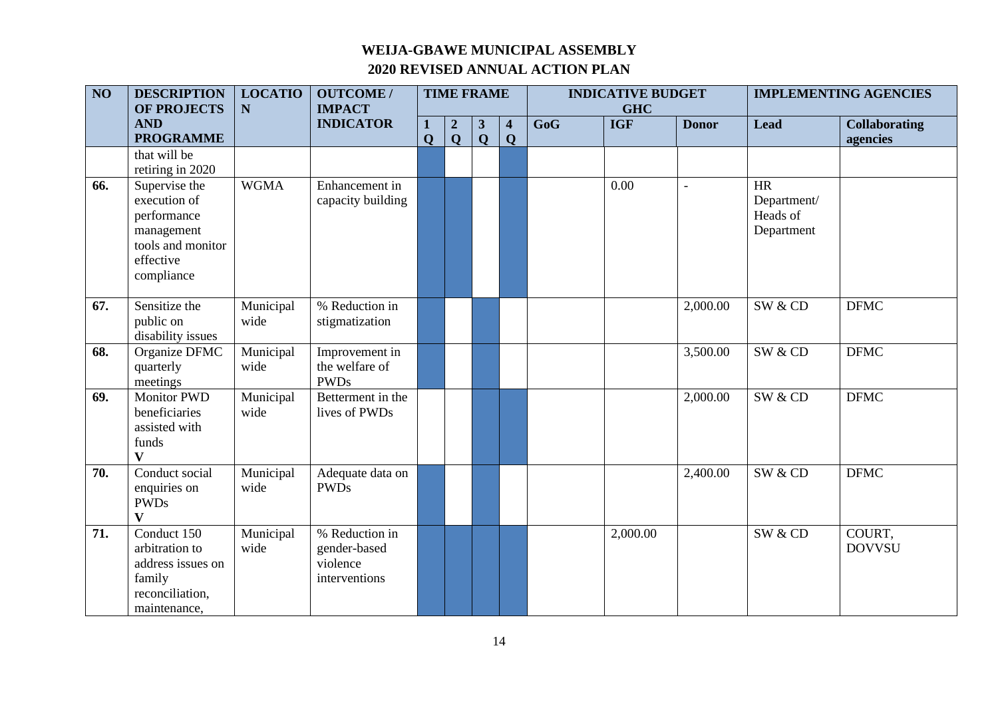| $\overline{NO}$ | <b>DESCRIPTION</b><br><b>OF PROJECTS</b>                                                                   | <b>LOCATIO</b><br>$\mathbf N$ | <b>OUTCOME/</b><br><b>IMPACT</b>                            |              | <b>TIME FRAME</b>               |                                |                  |                         | <b>INDICATIVE BUDGET</b><br><b>GHC</b> |              |                                                    | <b>IMPLEMENTING AGENCIES</b>     |
|-----------------|------------------------------------------------------------------------------------------------------------|-------------------------------|-------------------------------------------------------------|--------------|---------------------------------|--------------------------------|------------------|-------------------------|----------------------------------------|--------------|----------------------------------------------------|----------------------------------|
|                 | <b>AND</b><br><b>PROGRAMME</b>                                                                             |                               | <b>INDICATOR</b>                                            | $\mathbf{O}$ | $\boldsymbol{2}$<br>$\mathbf Q$ | $\mathbf{3}$<br>$\overline{Q}$ | 4<br>$\mathbf Q$ | $\overline{\text{GoG}}$ | <b>IGF</b>                             | <b>Donor</b> | <b>Lead</b>                                        | <b>Collaborating</b><br>agencies |
|                 | that will be<br>retiring in 2020                                                                           |                               |                                                             |              |                                 |                                |                  |                         |                                        |              |                                                    |                                  |
| 66.             | Supervise the<br>execution of<br>performance<br>management<br>tools and monitor<br>effective<br>compliance | <b>WGMA</b>                   | Enhancement in<br>capacity building                         |              |                                 |                                |                  |                         | 0.00                                   | $\bar{ }$    | <b>HR</b><br>Department/<br>Heads of<br>Department |                                  |
| 67.             | Sensitize the<br>public on<br>disability issues                                                            | Municipal<br>wide             | % Reduction in<br>stigmatization                            |              |                                 |                                |                  |                         |                                        | 2,000.00     | SW & CD                                            | <b>DFMC</b>                      |
| 68.             | Organize DFMC<br>quarterly<br>meetings                                                                     | Municipal<br>wide             | Improvement in<br>the welfare of<br><b>PWDs</b>             |              |                                 |                                |                  |                         |                                        | 3,500.00     | SW & CD                                            | <b>DFMC</b>                      |
| 69.             | <b>Monitor PWD</b><br>beneficiaries<br>assisted with<br>funds<br>$\overline{\mathbf{V}}$                   | Municipal<br>wide             | Betterment in the<br>lives of PWDs                          |              |                                 |                                |                  |                         |                                        | 2,000.00     | SW & CD                                            | <b>DFMC</b>                      |
| 70.             | Conduct social<br>enquiries on<br><b>PWDs</b><br>$\mathbf{V}$                                              | Municipal<br>wide             | Adequate data on<br><b>PWDs</b>                             |              |                                 |                                |                  |                         |                                        | 2,400.00     | SW & CD                                            | <b>DFMC</b>                      |
| 71.             | Conduct 150<br>arbitration to<br>address issues on<br>family<br>reconciliation,<br>maintenance,            | Municipal<br>wide             | % Reduction in<br>gender-based<br>violence<br>interventions |              |                                 |                                |                  |                         | 2,000.00                               |              | SW & CD                                            | COURT,<br><b>DOVVSU</b>          |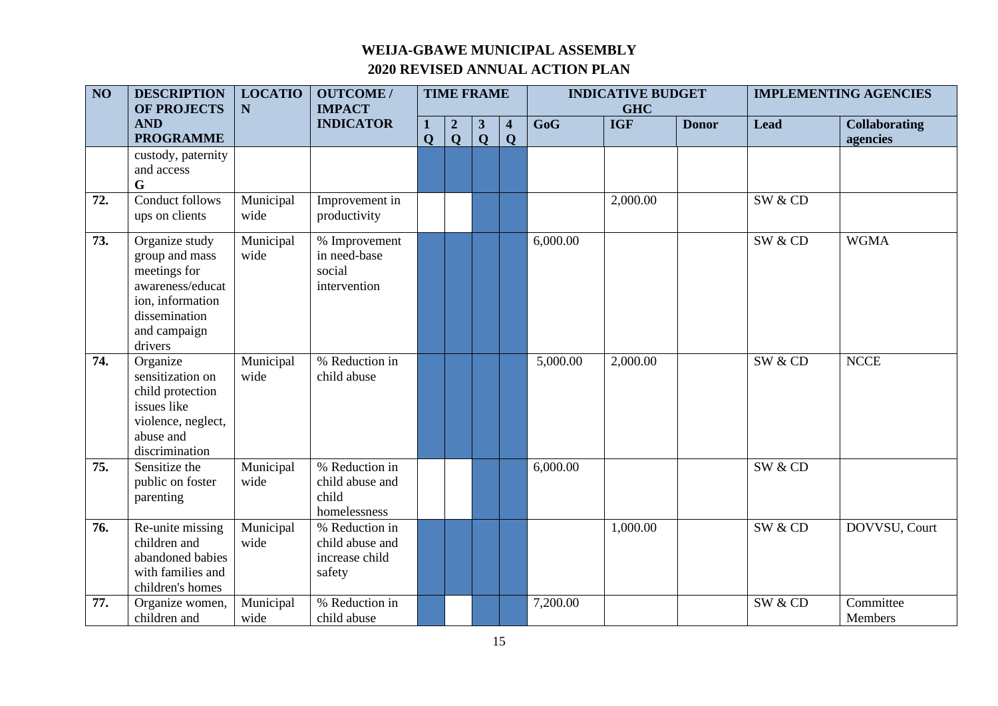| $\overline{NO}$ | <b>DESCRIPTION</b><br>OF PROJECTS                                                                                                    | <b>LOCATIO</b><br>N | <b>OUTCOME/</b><br><b>IMPACT</b>                              | <b>TIME FRAME</b> |                                  |                                         | <b>INDICATIVE BUDGET</b><br><b>GHC</b> |          |            | <b>IMPLEMENTING AGENCIES</b> |             |                                  |
|-----------------|--------------------------------------------------------------------------------------------------------------------------------------|---------------------|---------------------------------------------------------------|-------------------|----------------------------------|-----------------------------------------|----------------------------------------|----------|------------|------------------------------|-------------|----------------------------------|
|                 | <b>AND</b><br><b>PROGRAMME</b>                                                                                                       |                     | <b>INDICATOR</b>                                              | $\mathbf Q$       | $\boldsymbol{2}$<br>$\mathbf{Q}$ | $\mathbf{3}$<br>$\overline{\mathbf{Q}}$ | $\overline{\mathbf{4}}$<br>Q           | GoG      | <b>IGF</b> | <b>Donor</b>                 | <b>Lead</b> | <b>Collaborating</b><br>agencies |
|                 | custody, paternity<br>and access<br>G                                                                                                |                     |                                                               |                   |                                  |                                         |                                        |          |            |                              |             |                                  |
| 72.             | <b>Conduct follows</b><br>ups on clients                                                                                             | Municipal<br>wide   | Improvement in<br>productivity                                |                   |                                  |                                         |                                        |          | 2,000.00   |                              | SW & CD     |                                  |
| 73.             | Organize study<br>group and mass<br>meetings for<br>awareness/educat<br>ion, information<br>dissemination<br>and campaign<br>drivers | Municipal<br>wide   | % Improvement<br>in need-base<br>social<br>intervention       |                   |                                  |                                         |                                        | 6,000.00 |            |                              | SW & CD     | <b>WGMA</b>                      |
| 74.             | Organize<br>sensitization on<br>child protection<br>issues like<br>violence, neglect,<br>abuse and<br>discrimination                 | Municipal<br>wide   | % Reduction in<br>child abuse                                 |                   |                                  |                                         |                                        | 5,000.00 | 2,000.00   |                              | SW & CD     | <b>NCCE</b>                      |
| 75.             | Sensitize the<br>public on foster<br>parenting                                                                                       | Municipal<br>wide   | % Reduction in<br>child abuse and<br>child<br>homelessness    |                   |                                  |                                         |                                        | 6,000.00 |            |                              | SW & CD     |                                  |
| 76.             | Re-unite missing<br>children and<br>abandoned babies<br>with families and<br>children's homes                                        | Municipal<br>wide   | % Reduction in<br>child abuse and<br>increase child<br>safety |                   |                                  |                                         |                                        |          | 1,000.00   |                              | SW & CD     | DOVVSU, Court                    |
| 77.             | Organize women,<br>children and                                                                                                      | Municipal<br>wide   | % Reduction in<br>child abuse                                 |                   |                                  |                                         |                                        | 7,200.00 |            |                              | SW & CD     | Committee<br>Members             |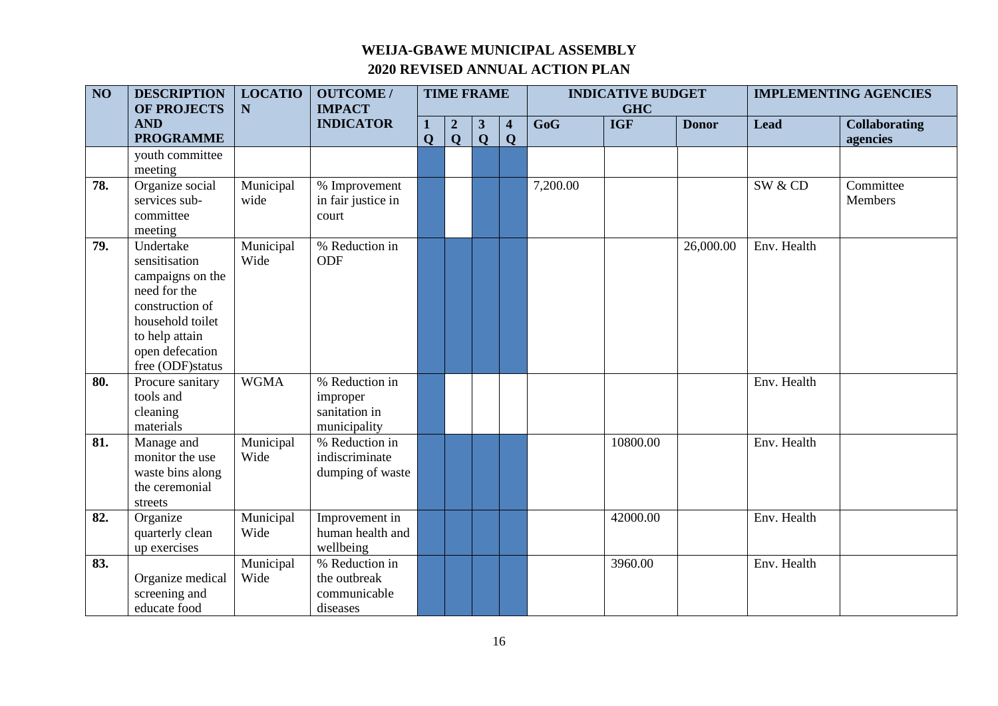| $\overline{NO}$ | <b>DESCRIPTION</b><br><b>OF PROJECTS</b>                                                                                                                       | <b>LOCATIO</b><br>$\mathbf N$ | <b>OUTCOME/</b><br><b>IMPACT</b>                            | <b>TIME FRAME</b> |                  |                         | <b>INDICATIVE BUDGET</b><br><b>GHC</b> |          |            | <b>IMPLEMENTING AGENCIES</b> |             |                      |
|-----------------|----------------------------------------------------------------------------------------------------------------------------------------------------------------|-------------------------------|-------------------------------------------------------------|-------------------|------------------|-------------------------|----------------------------------------|----------|------------|------------------------------|-------------|----------------------|
|                 | <b>AND</b>                                                                                                                                                     |                               | <b>INDICATOR</b>                                            |                   | $\boldsymbol{2}$ | $\mathbf{3}$            | $\overline{\mathbf{4}}$                | GoG      | <b>IGF</b> | <b>Donor</b>                 | <b>Lead</b> | <b>Collaborating</b> |
|                 | <b>PROGRAMME</b>                                                                                                                                               |                               |                                                             | $\mathbf{O}$      | $\mathbf Q$      | $\overline{\mathbf{Q}}$ | $\mathbf Q$                            |          |            |                              |             | agencies             |
|                 | youth committee<br>meeting                                                                                                                                     |                               |                                                             |                   |                  |                         |                                        |          |            |                              |             |                      |
| 78.             | Organize social<br>services sub-<br>committee<br>meeting                                                                                                       | Municipal<br>wide             | % Improvement<br>in fair justice in<br>court                |                   |                  |                         |                                        | 7,200.00 |            |                              | SW & CD     | Committee<br>Members |
| 79.             | Undertake<br>sensitisation<br>campaigns on the<br>need for the<br>construction of<br>household toilet<br>to help attain<br>open defecation<br>free (ODF)status | Municipal<br>Wide             | % Reduction in<br><b>ODF</b>                                |                   |                  |                         |                                        |          |            | 26,000.00                    | Env. Health |                      |
| 80.             | Procure sanitary<br>tools and<br>cleaning<br>materials                                                                                                         | <b>WGMA</b>                   | % Reduction in<br>improper<br>sanitation in<br>municipality |                   |                  |                         |                                        |          |            |                              | Env. Health |                      |
| 81.             | Manage and<br>monitor the use<br>waste bins along<br>the ceremonial<br>streets                                                                                 | Municipal<br>Wide             | % Reduction in<br>indiscriminate<br>dumping of waste        |                   |                  |                         |                                        |          | 10800.00   |                              | Env. Health |                      |
| 82.             | Organize<br>quarterly clean<br>up exercises                                                                                                                    | Municipal<br>Wide             | Improvement in<br>human health and<br>wellbeing             |                   |                  |                         |                                        |          | 42000.00   |                              | Env. Health |                      |
| 83.             | Organize medical<br>screening and<br>educate food                                                                                                              | Municipal<br>Wide             | % Reduction in<br>the outbreak<br>communicable<br>diseases  |                   |                  |                         |                                        |          | 3960.00    |                              | Env. Health |                      |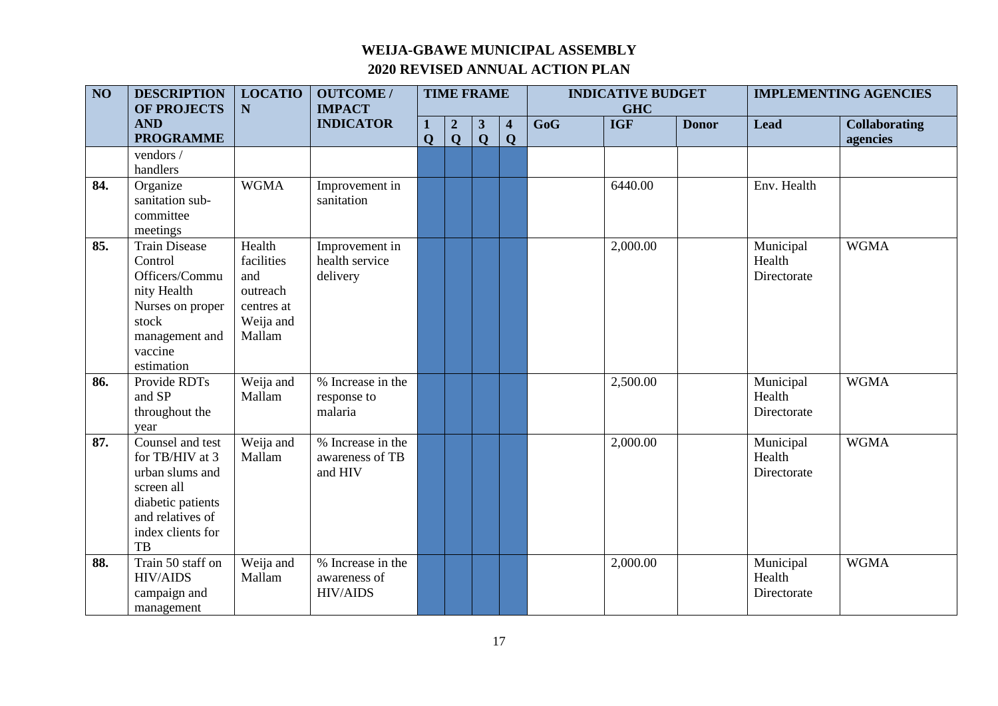| $\overline{NO}$ | <b>DESCRIPTION</b><br><b>OF PROJECTS</b>                                                                                                 | <b>LOCATIO</b><br>N                                                          | <b>OUTCOME/</b><br><b>IMPACT</b>                     | <b>TIME FRAME</b> |                                 |                                | <b>INDICATIVE BUDGET</b><br><b>GHC</b> |                         |            | <b>IMPLEMENTING AGENCIES</b> |                                    |                                  |
|-----------------|------------------------------------------------------------------------------------------------------------------------------------------|------------------------------------------------------------------------------|------------------------------------------------------|-------------------|---------------------------------|--------------------------------|----------------------------------------|-------------------------|------------|------------------------------|------------------------------------|----------------------------------|
|                 | <b>AND</b><br><b>PROGRAMME</b>                                                                                                           |                                                                              | <b>INDICATOR</b>                                     | $\mathbf Q$       | $\boldsymbol{2}$<br>$\mathbf Q$ | $\mathbf{3}$<br>$\overline{Q}$ | $\overline{\mathbf{4}}$<br>$\mathbf Q$ | $\overline{\text{GoG}}$ | <b>IGF</b> | <b>Donor</b>                 | <b>Lead</b>                        | <b>Collaborating</b><br>agencies |
|                 | vendors /<br>handlers                                                                                                                    |                                                                              |                                                      |                   |                                 |                                |                                        |                         |            |                              |                                    |                                  |
| 84.             | Organize<br>sanitation sub-<br>committee<br>meetings                                                                                     | <b>WGMA</b>                                                                  | Improvement in<br>sanitation                         |                   |                                 |                                |                                        |                         | 6440.00    |                              | Env. Health                        |                                  |
| 85.             | <b>Train Disease</b><br>Control<br>Officers/Commu<br>nity Health<br>Nurses on proper<br>stock<br>management and<br>vaccine<br>estimation | Health<br>facilities<br>and<br>outreach<br>centres at<br>Weija and<br>Mallam | Improvement in<br>health service<br>delivery         |                   |                                 |                                |                                        |                         | 2,000.00   |                              | Municipal<br>Health<br>Directorate | <b>WGMA</b>                      |
| 86.             | Provide RDTs<br>and SP<br>throughout the<br>year                                                                                         | Weija and<br>Mallam                                                          | % Increase in the<br>response to<br>malaria          |                   |                                 |                                |                                        |                         | 2,500.00   |                              | Municipal<br>Health<br>Directorate | <b>WGMA</b>                      |
| 87.             | Counsel and test<br>for TB/HIV at 3<br>urban slums and<br>screen all<br>diabetic patients<br>and relatives of<br>index clients for<br>TB | Weija and<br>Mallam                                                          | % Increase in the<br>awareness of TB<br>and HIV      |                   |                                 |                                |                                        |                         | 2,000.00   |                              | Municipal<br>Health<br>Directorate | <b>WGMA</b>                      |
| 88.             | Train 50 staff on<br><b>HIV/AIDS</b><br>campaign and<br>management                                                                       | Weija and<br>Mallam                                                          | % Increase in the<br>awareness of<br><b>HIV/AIDS</b> |                   |                                 |                                |                                        |                         | 2,000.00   |                              | Municipal<br>Health<br>Directorate | <b>WGMA</b>                      |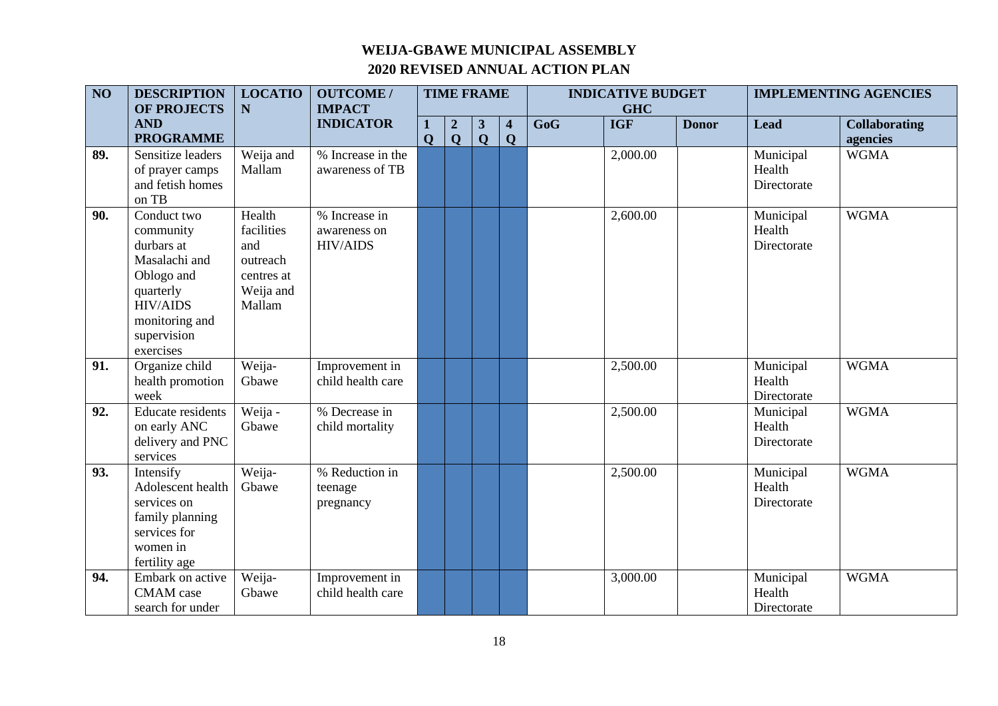| $\overline{NO}$ | <b>DESCRIPTION</b>                                                                                                                                  | <b>LOCATIO</b>                                                               | <b>OUTCOME/</b>                                  |             |                                 | <b>TIME FRAME</b> |                         |     | <b>INDICATIVE BUDGET</b> |              |                                    | <b>IMPLEMENTING AGENCIES</b> |
|-----------------|-----------------------------------------------------------------------------------------------------------------------------------------------------|------------------------------------------------------------------------------|--------------------------------------------------|-------------|---------------------------------|-------------------|-------------------------|-----|--------------------------|--------------|------------------------------------|------------------------------|
|                 | OF PROJECTS<br><b>AND</b>                                                                                                                           | $\mathbf N$                                                                  | <b>IMPACT</b><br><b>INDICATOR</b>                |             |                                 | 3                 | $\overline{\mathbf{4}}$ | GoG | <b>GHC</b><br><b>IGF</b> | <b>Donor</b> | <b>Lead</b>                        | <b>Collaborating</b>         |
|                 | <b>PROGRAMME</b>                                                                                                                                    |                                                                              |                                                  | $\mathbf Q$ | $\boldsymbol{2}$<br>$\mathbf Q$ | $\mathbf{Q}$      | $\mathbf Q$             |     |                          |              |                                    | agencies                     |
| 89.             | Sensitize leaders<br>of prayer camps<br>and fetish homes<br>on TB                                                                                   | Weija and<br>Mallam                                                          | % Increase in the<br>awareness of TB             |             |                                 |                   |                         |     | 2,000.00                 |              | Municipal<br>Health<br>Directorate | <b>WGMA</b>                  |
| 90.             | Conduct two<br>community<br>durbars at<br>Masalachi and<br>Oblogo and<br>quarterly<br><b>HIV/AIDS</b><br>monitoring and<br>supervision<br>exercises | Health<br>facilities<br>and<br>outreach<br>centres at<br>Weija and<br>Mallam | % Increase in<br>awareness on<br><b>HIV/AIDS</b> |             |                                 |                   |                         |     | 2,600.00                 |              | Municipal<br>Health<br>Directorate | <b>WGMA</b>                  |
| 91.             | Organize child<br>health promotion<br>week                                                                                                          | Weija-<br>Gbawe                                                              | Improvement in<br>child health care              |             |                                 |                   |                         |     | 2,500.00                 |              | Municipal<br>Health<br>Directorate | <b>WGMA</b>                  |
| 92.             | <b>Educate residents</b><br>on early ANC<br>delivery and PNC<br>services                                                                            | Weija -<br>Gbawe                                                             | % Decrease in<br>child mortality                 |             |                                 |                   |                         |     | 2,500.00                 |              | Municipal<br>Health<br>Directorate | <b>WGMA</b>                  |
| 93.             | Intensify<br>Adolescent health<br>services on<br>family planning<br>services for<br>women in<br>fertility age                                       | Weija-<br>Gbawe                                                              | % Reduction in<br>teenage<br>pregnancy           |             |                                 |                   |                         |     | 2,500.00                 |              | Municipal<br>Health<br>Directorate | <b>WGMA</b>                  |
| 94.             | Embark on active<br><b>CMAM</b> case<br>search for under                                                                                            | Weija-<br>Gbawe                                                              | Improvement in<br>child health care              |             |                                 |                   |                         |     | 3,000.00                 |              | Municipal<br>Health<br>Directorate | <b>WGMA</b>                  |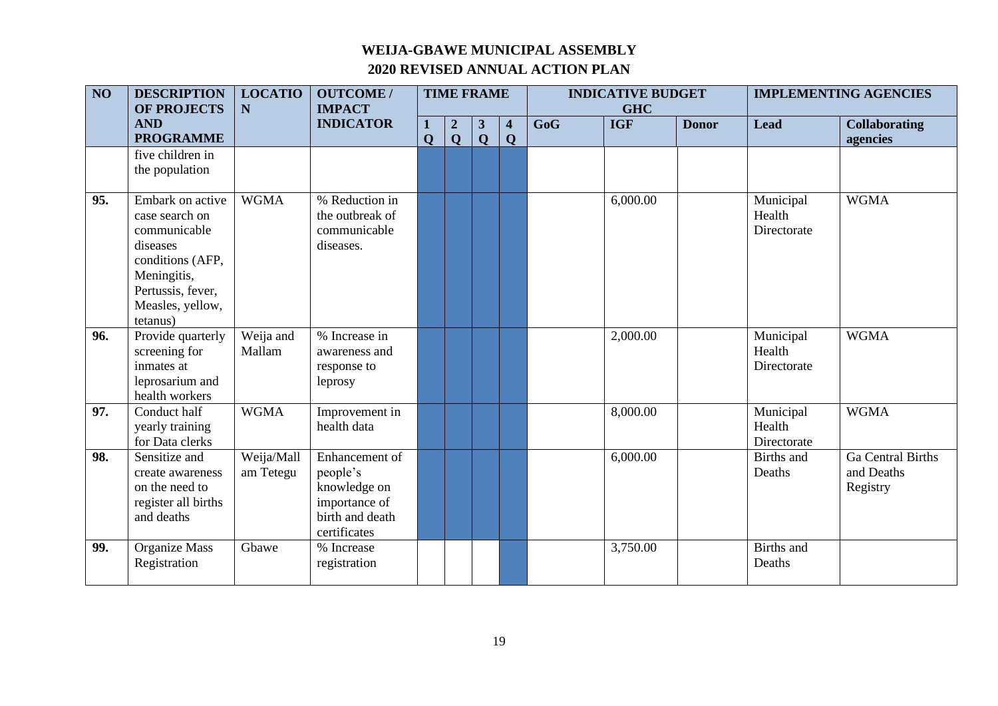| $\overline{NO}$ | <b>DESCRIPTION</b><br><b>OF PROJECTS</b>                                                                                                               | <b>LOCATIO</b><br>${\bf N}$ | <b>OUTCOME/</b><br><b>IMPACT</b>                                                               |              | <b>TIME FRAME</b><br>$\mathbf 1$   |                              |                              | <b>INDICATIVE BUDGET</b><br><b>GHC</b> |            |              | <b>IMPLEMENTING AGENCIES</b>       |                                                    |
|-----------------|--------------------------------------------------------------------------------------------------------------------------------------------------------|-----------------------------|------------------------------------------------------------------------------------------------|--------------|------------------------------------|------------------------------|------------------------------|----------------------------------------|------------|--------------|------------------------------------|----------------------------------------------------|
|                 | <b>AND</b><br><b>PROGRAMME</b>                                                                                                                         |                             | <b>INDICATOR</b>                                                                               | $\mathbf{O}$ | $\boldsymbol{2}$<br>$\overline{Q}$ | $\mathbf{3}$<br>$\mathbf{Q}$ | $\overline{\mathbf{4}}$<br>Q | GoG                                    | <b>IGF</b> | <b>Donor</b> | <b>Lead</b>                        | <b>Collaborating</b><br>agencies                   |
|                 | five children in<br>the population                                                                                                                     |                             |                                                                                                |              |                                    |                              |                              |                                        |            |              |                                    |                                                    |
| 95.             | Embark on active<br>case search on<br>communicable<br>diseases<br>conditions (AFP,<br>Meningitis,<br>Pertussis, fever,<br>Measles, yellow,<br>tetanus) | <b>WGMA</b>                 | % Reduction in<br>the outbreak of<br>communicable<br>diseases.                                 |              |                                    |                              |                              |                                        | 6,000.00   |              | Municipal<br>Health<br>Directorate | <b>WGMA</b>                                        |
| 96.             | Provide quarterly<br>screening for<br>inmates at<br>leprosarium and<br>health workers                                                                  | Weija and<br>Mallam         | % Increase in<br>awareness and<br>response to<br>leprosy                                       |              |                                    |                              |                              |                                        | 2,000.00   |              | Municipal<br>Health<br>Directorate | <b>WGMA</b>                                        |
| 97.             | Conduct half<br>yearly training<br>for Data clerks                                                                                                     | <b>WGMA</b>                 | Improvement in<br>health data                                                                  |              |                                    |                              |                              |                                        | 8,000.00   |              | Municipal<br>Health<br>Directorate | <b>WGMA</b>                                        |
| 98.             | Sensitize and<br>create awareness<br>on the need to<br>register all births<br>and deaths                                                               | Weija/Mall<br>am Tetegu     | Enhancement of<br>people's<br>knowledge on<br>importance of<br>birth and death<br>certificates |              |                                    |                              |                              |                                        | 6,000.00   |              | Births and<br>Deaths               | <b>Ga</b> Central Births<br>and Deaths<br>Registry |
| 99.             | Organize Mass<br>Registration                                                                                                                          | Gbawe                       | % Increase<br>registration                                                                     |              |                                    |                              |                              |                                        | 3,750.00   |              | <b>Births</b> and<br>Deaths        |                                                    |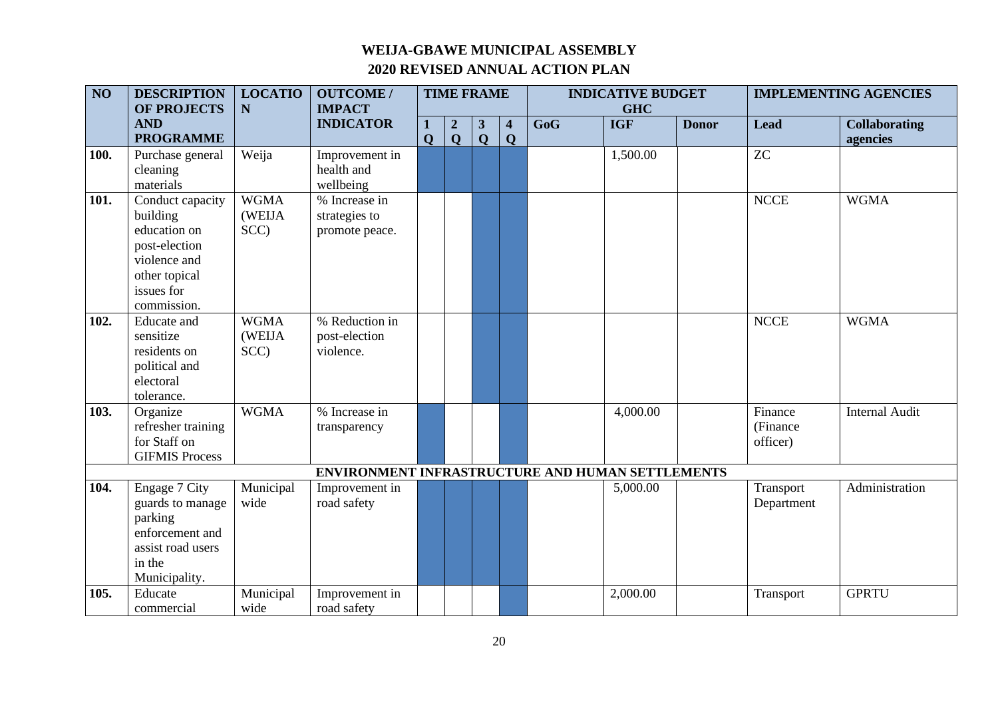| $\overline{NO}$ | <b>DESCRIPTION</b>                                                                                                          | <b>LOCATIO</b>                | <b>OUTCOME/</b>                                  | <b>TIME FRAME</b> |                         |                         |                         | <b>INDICATIVE BUDGET</b> |                          |              | <b>IMPLEMENTING AGENCIES</b>    |                       |
|-----------------|-----------------------------------------------------------------------------------------------------------------------------|-------------------------------|--------------------------------------------------|-------------------|-------------------------|-------------------------|-------------------------|--------------------------|--------------------------|--------------|---------------------------------|-----------------------|
|                 | <b>OF PROJECTS</b><br><b>AND</b>                                                                                            | N                             | <b>IMPACT</b><br><b>INDICATOR</b>                |                   | $\boldsymbol{2}$        | $\mathbf{3}$            | $\overline{\mathbf{4}}$ | GoG                      | <b>GHC</b><br><b>IGF</b> | <b>Donor</b> | <b>Lead</b>                     | <b>Collaborating</b>  |
|                 | <b>PROGRAMME</b>                                                                                                            |                               |                                                  | $\mathbf 0$       | $\overline{\mathbf{Q}}$ | $\overline{\mathbf{Q}}$ | $\mathbf Q$             |                          |                          |              |                                 | agencies              |
| 100.            | Purchase general<br>cleaning<br>materials                                                                                   | Weija                         | Improvement in<br>health and<br>wellbeing        |                   |                         |                         |                         |                          | 1,500.00                 |              | <b>ZC</b>                       |                       |
| 101.            | Conduct capacity<br>building<br>education on<br>post-election<br>violence and<br>other topical<br>issues for<br>commission. | <b>WGMA</b><br>(WEIJA<br>SCC) | % Increase in<br>strategies to<br>promote peace. |                   |                         |                         |                         |                          |                          |              | <b>NCCE</b>                     | <b>WGMA</b>           |
| 102.            | <b>Educate</b> and<br>sensitize<br>residents on<br>political and<br>electoral<br>tolerance.                                 | <b>WGMA</b><br>(WEIJA<br>SCC) | % Reduction in<br>post-election<br>violence.     |                   |                         |                         |                         |                          |                          |              | <b>NCCE</b>                     | <b>WGMA</b>           |
| 103.            | Organize<br>refresher training<br>for Staff on<br><b>GIFMIS Process</b>                                                     | <b>WGMA</b>                   | % Increase in<br>transparency                    |                   |                         |                         |                         |                          | 4,000.00                 |              | Finance<br>(Finance<br>officer) | <b>Internal Audit</b> |
|                 |                                                                                                                             |                               | ENVIRONMENT INFRASTRUCTURE AND HUMAN SETTLEMENTS |                   |                         |                         |                         |                          |                          |              |                                 |                       |
| 104.            | Engage 7 City<br>guards to manage<br>parking<br>enforcement and<br>assist road users<br>in the<br>Municipality.             | Municipal<br>wide             | Improvement in<br>road safety                    |                   |                         |                         |                         |                          | 5,000.00                 |              | Transport<br>Department         | Administration        |
| 105.            | Educate<br>commercial                                                                                                       | Municipal<br>wide             | Improvement in<br>road safety                    |                   |                         |                         |                         |                          | 2,000.00                 |              | Transport                       | <b>GPRTU</b>          |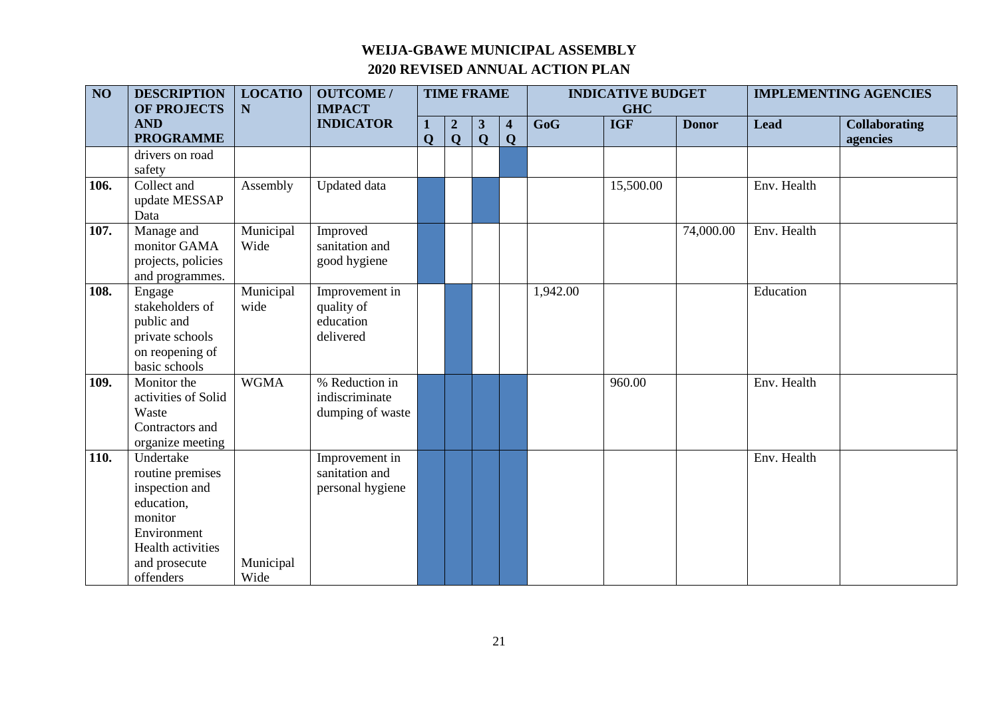| $\overline{NO}$ | <b>DESCRIPTION</b><br>OF PROJECTS                                                                                                          | <b>LOCATIO</b><br>${\bf N}$ | <b>OUTCOME/</b><br><b>IMPACT</b>                       |                  |                                  | <b>TIME FRAME</b>            |                                        |          | <b>INDICATIVE BUDGET</b><br><b>GHC</b> |              |             | <b>IMPLEMENTING AGENCIES</b>     |
|-----------------|--------------------------------------------------------------------------------------------------------------------------------------------|-----------------------------|--------------------------------------------------------|------------------|----------------------------------|------------------------------|----------------------------------------|----------|----------------------------------------|--------------|-------------|----------------------------------|
|                 | <b>AND</b><br><b>PROGRAMME</b>                                                                                                             |                             | <b>INDICATOR</b>                                       | 1<br>$\mathbf 0$ | $\boldsymbol{2}$<br>$\mathbf{Q}$ | $\mathbf{3}$<br>$\mathbf{Q}$ | $\overline{\mathbf{4}}$<br>$\mathbf Q$ | GoG      | <b>IGF</b>                             | <b>Donor</b> | <b>Lead</b> | <b>Collaborating</b><br>agencies |
|                 | drivers on road<br>safety                                                                                                                  |                             |                                                        |                  |                                  |                              |                                        |          |                                        |              |             |                                  |
| 106.            | Collect and<br>update MESSAP<br>Data                                                                                                       | Assembly                    | <b>Updated</b> data                                    |                  |                                  |                              |                                        |          | 15,500.00                              |              | Env. Health |                                  |
| 107.            | Manage and<br>monitor GAMA<br>projects, policies<br>and programmes.                                                                        | Municipal<br>Wide           | Improved<br>sanitation and<br>good hygiene             |                  |                                  |                              |                                        |          |                                        | 74,000.00    | Env. Health |                                  |
| 108.            | Engage<br>stakeholders of<br>public and<br>private schools<br>on reopening of<br>basic schools                                             | Municipal<br>wide           | Improvement in<br>quality of<br>education<br>delivered |                  |                                  |                              |                                        | 1,942.00 |                                        |              | Education   |                                  |
| 109.            | Monitor the<br>activities of Solid<br>Waste<br>Contractors and<br>organize meeting                                                         | <b>WGMA</b>                 | % Reduction in<br>indiscriminate<br>dumping of waste   |                  |                                  |                              |                                        |          | 960.00                                 |              | Env. Health |                                  |
| 110.            | Undertake<br>routine premises<br>inspection and<br>education,<br>monitor<br>Environment<br>Health activities<br>and prosecute<br>offenders | Municipal<br>Wide           | Improvement in<br>sanitation and<br>personal hygiene   |                  |                                  |                              |                                        |          |                                        |              | Env. Health |                                  |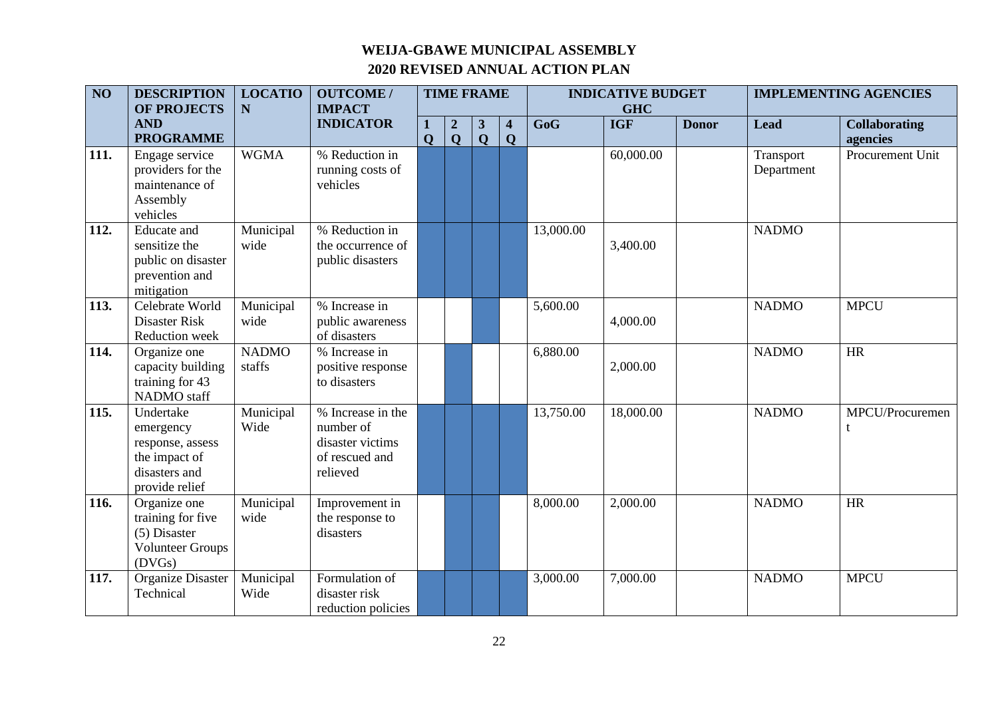| $\overline{NO}$ | <b>DESCRIPTION</b><br><b>OF PROJECTS</b>                                                       | <b>LOCATIO</b><br>N    | <b>OUTCOME/</b><br><b>IMPACT</b>                                                 |              |                                 | <b>TIME FRAME</b> |                                        |           | <b>INDICATIVE BUDGET</b><br><b>GHC</b> |              |                         | <b>IMPLEMENTING AGENCIES</b>     |
|-----------------|------------------------------------------------------------------------------------------------|------------------------|----------------------------------------------------------------------------------|--------------|---------------------------------|-------------------|----------------------------------------|-----------|----------------------------------------|--------------|-------------------------|----------------------------------|
|                 | <b>AND</b><br><b>PROGRAMME</b>                                                                 |                        | <b>INDICATOR</b>                                                                 | $\mathbf{O}$ | $\boldsymbol{2}$<br>$\mathbf Q$ | 3<br>$\mathbf{Q}$ | $\overline{\mathbf{4}}$<br>$\mathbf Q$ | GoG       | <b>IGF</b>                             | <b>Donor</b> | <b>Lead</b>             | <b>Collaborating</b><br>agencies |
| 111.            | Engage service<br>providers for the<br>maintenance of<br>Assembly<br>vehicles                  | <b>WGMA</b>            | % Reduction in<br>running costs of<br>vehicles                                   |              |                                 |                   |                                        |           | 60,000.00                              |              | Transport<br>Department | Procurement Unit                 |
| 112.            | <b>Educate</b> and<br>sensitize the<br>public on disaster<br>prevention and<br>mitigation      | Municipal<br>wide      | % Reduction in<br>the occurrence of<br>public disasters                          |              |                                 |                   |                                        | 13,000.00 | 3,400.00                               |              | <b>NADMO</b>            |                                  |
| 113.            | Celebrate World<br>Disaster Risk<br>Reduction week                                             | Municipal<br>wide      | % Increase in<br>public awareness<br>of disasters                                |              |                                 |                   |                                        | 5,600.00  | 4,000.00                               |              | <b>NADMO</b>            | <b>MPCU</b>                      |
| 114.            | Organize one<br>capacity building<br>training for 43<br><b>NADMO</b> staff                     | <b>NADMO</b><br>staffs | % Increase in<br>positive response<br>to disasters                               |              |                                 |                   |                                        | 6,880.00  | 2,000.00                               |              | <b>NADMO</b>            | <b>HR</b>                        |
| 115.            | Undertake<br>emergency<br>response, assess<br>the impact of<br>disasters and<br>provide relief | Municipal<br>Wide      | % Increase in the<br>number of<br>disaster victims<br>of rescued and<br>relieved |              |                                 |                   |                                        | 13,750.00 | 18,000.00                              |              | <b>NADMO</b>            | MPCU/Procuremen<br>t             |
| 116.            | Organize one<br>training for five<br>(5) Disaster<br><b>Volunteer Groups</b><br>(DVGs)         | Municipal<br>wide      | Improvement in<br>the response to<br>disasters                                   |              |                                 |                   |                                        | 8,000.00  | 2,000.00                               |              | <b>NADMO</b>            | HR                               |
| 117.            | <b>Organize Disaster</b><br>Technical                                                          | Municipal<br>Wide      | Formulation of<br>disaster risk<br>reduction policies                            |              |                                 |                   |                                        | 3,000.00  | 7,000.00                               |              | <b>NADMO</b>            | <b>MPCU</b>                      |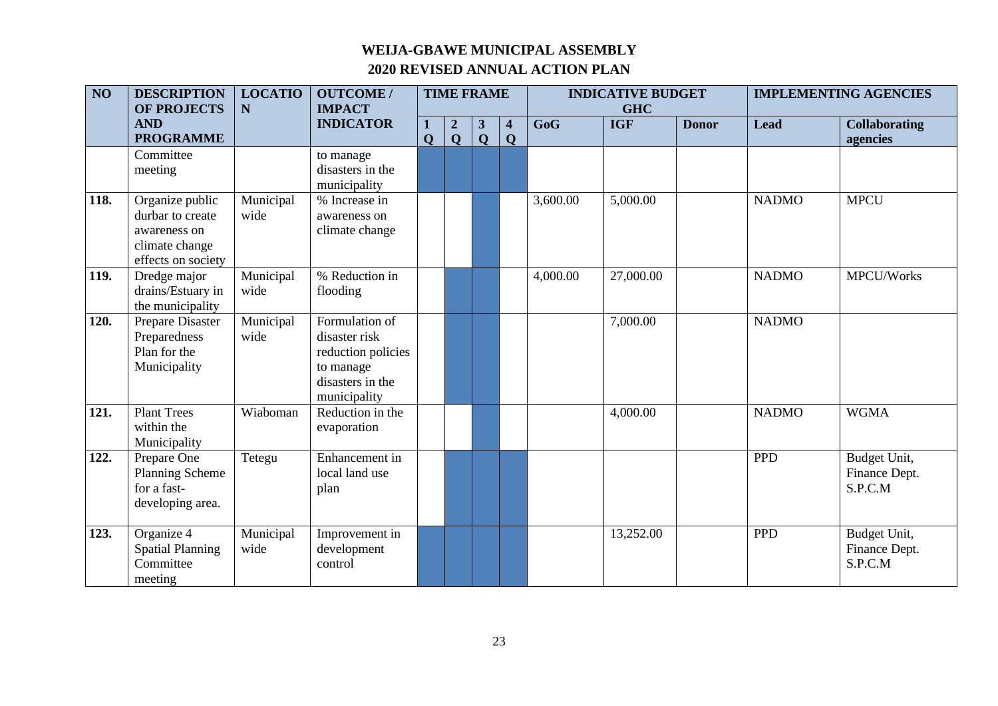| $\overline{NO}$ | <b>DESCRIPTION</b><br><b>LOCATIO</b><br><b>OF PROJECTS</b><br>N<br><b>AND</b>               |                   | <b>OUTCOME/</b><br><b>IMPACT</b>                                                                       |                   |                                  | <b>TIME FRAME</b>            |        |          | <b>INDICATIVE BUDGET</b><br><b>GHC</b> |              |              | <b>IMPLEMENTING AGENCIES</b>             |
|-----------------|---------------------------------------------------------------------------------------------|-------------------|--------------------------------------------------------------------------------------------------------|-------------------|----------------------------------|------------------------------|--------|----------|----------------------------------------|--------------|--------------|------------------------------------------|
|                 | <b>PROGRAMME</b>                                                                            |                   | <b>INDICATOR</b>                                                                                       | 1<br>$\mathbf{Q}$ | $\boldsymbol{2}$<br>$\mathbf{Q}$ | $\mathbf{3}$<br>$\mathbf{Q}$ | 4<br>Q | GoG      | <b>IGF</b>                             | <b>Donor</b> | <b>Lead</b>  | <b>Collaborating</b><br>agencies         |
|                 | Committee<br>meeting                                                                        |                   | to manage<br>disasters in the<br>municipality                                                          |                   |                                  |                              |        |          |                                        |              |              |                                          |
| 118.            | Organize public<br>durbar to create<br>awareness on<br>climate change<br>effects on society | Municipal<br>wide | % Increase in<br>awareness on<br>climate change                                                        |                   |                                  |                              |        | 3,600.00 | 5,000.00                               |              | <b>NADMO</b> | <b>MPCU</b>                              |
| 119.            | Dredge major<br>drains/Estuary in<br>the municipality                                       | Municipal<br>wide | % Reduction in<br>flooding                                                                             |                   |                                  |                              |        | 4,000.00 | 27,000.00                              |              | <b>NADMO</b> | MPCU/Works                               |
| 120.            | Prepare Disaster<br>Preparedness<br>Plan for the<br>Municipality                            | Municipal<br>wide | Formulation of<br>disaster risk<br>reduction policies<br>to manage<br>disasters in the<br>municipality |                   |                                  |                              |        |          | 7,000.00                               |              | <b>NADMO</b> |                                          |
| 121.            | <b>Plant Trees</b><br>within the<br>Municipality                                            | Wiaboman          | Reduction in the<br>evaporation                                                                        |                   |                                  |                              |        |          | 4,000.00                               |              | <b>NADMO</b> | <b>WGMA</b>                              |
| 122.            | Prepare One<br>Planning Scheme<br>for a fast-<br>developing area.                           | Tetegu            | Enhancement in<br>local land use<br>plan                                                               |                   |                                  |                              |        |          |                                        |              | <b>PPD</b>   | Budget Unit,<br>Finance Dept.<br>S.P.C.M |
| 123.            | Organize 4<br><b>Spatial Planning</b><br>Committee<br>meeting                               | Municipal<br>wide | Improvement in<br>development<br>control                                                               |                   |                                  |                              |        |          | 13,252.00                              |              | <b>PPD</b>   | Budget Unit,<br>Finance Dept.<br>S.P.C.M |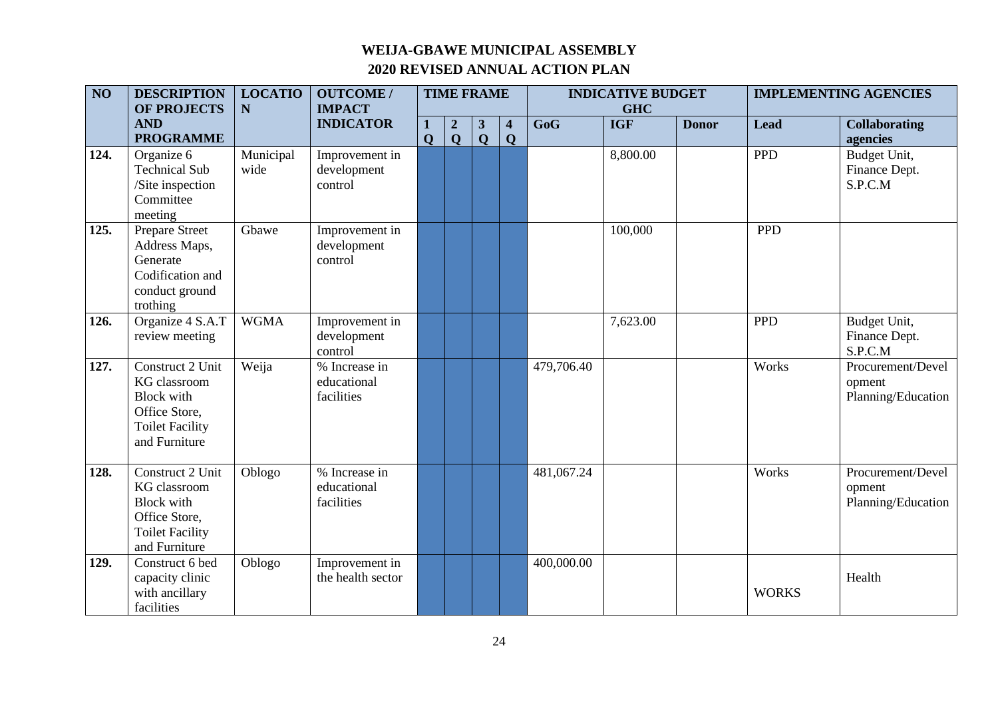| $\overline{NO}$ | <b>DESCRIPTION</b><br><b>OF PROJECTS</b>                                                                          | <b>LOCATIO</b><br>N | <b>OUTCOME/</b><br><b>IMPACT</b>           |             |                                             | <b>TIME FRAME</b>            |                                        |            | <b>INDICATIVE BUDGET</b><br><b>GHC</b> |              |              | <b>IMPLEMENTING AGENCIES</b>                      |
|-----------------|-------------------------------------------------------------------------------------------------------------------|---------------------|--------------------------------------------|-------------|---------------------------------------------|------------------------------|----------------------------------------|------------|----------------------------------------|--------------|--------------|---------------------------------------------------|
|                 | <b>AND</b><br><b>PROGRAMME</b>                                                                                    |                     | <b>INDICATOR</b>                           | $\mathbf 0$ | $\boldsymbol{2}$<br>$\overline{\mathbf{Q}}$ | 3<br>$\overline{\mathbf{Q}}$ | $\overline{\mathbf{4}}$<br>$\mathbf Q$ | GoG        | <b>IGF</b>                             | <b>Donor</b> | <b>Lead</b>  | <b>Collaborating</b><br>agencies                  |
| 124.            | Organize 6<br><b>Technical Sub</b><br>/Site inspection<br>Committee<br>meeting                                    | Municipal<br>wide   | Improvement in<br>development<br>control   |             |                                             |                              |                                        |            | 8,800.00                               |              | <b>PPD</b>   | Budget Unit,<br>Finance Dept.<br>S.P.C.M          |
| 125.            | Prepare Street<br>Address Maps,<br>Generate<br>Codification and<br>conduct ground<br>trothing                     | Gbawe               | Improvement in<br>development<br>control   |             |                                             |                              |                                        |            | 100,000                                |              | <b>PPD</b>   |                                                   |
| 126.            | Organize 4 S.A.T<br>review meeting                                                                                | <b>WGMA</b>         | Improvement in<br>development<br>control   |             |                                             |                              |                                        |            | 7,623.00                               |              | <b>PPD</b>   | Budget Unit,<br>Finance Dept.<br>S.P.C.M          |
| 127.            | Construct 2 Unit<br>KG classroom<br><b>Block</b> with<br>Office Store,<br><b>Toilet Facility</b><br>and Furniture | Weija               | % Increase in<br>educational<br>facilities |             |                                             |                              |                                        | 479,706.40 |                                        |              | Works        | Procurement/Devel<br>opment<br>Planning/Education |
| 128.            | Construct 2 Unit<br>KG classroom<br><b>Block with</b><br>Office Store,<br><b>Toilet Facility</b><br>and Furniture | Oblogo              | % Increase in<br>educational<br>facilities |             |                                             |                              |                                        | 481,067.24 |                                        |              | Works        | Procurement/Devel<br>opment<br>Planning/Education |
| 129.            | Construct 6 bed<br>capacity clinic<br>with ancillary<br>facilities                                                | Oblogo              | Improvement in<br>the health sector        |             |                                             |                              |                                        | 400,000.00 |                                        |              | <b>WORKS</b> | Health                                            |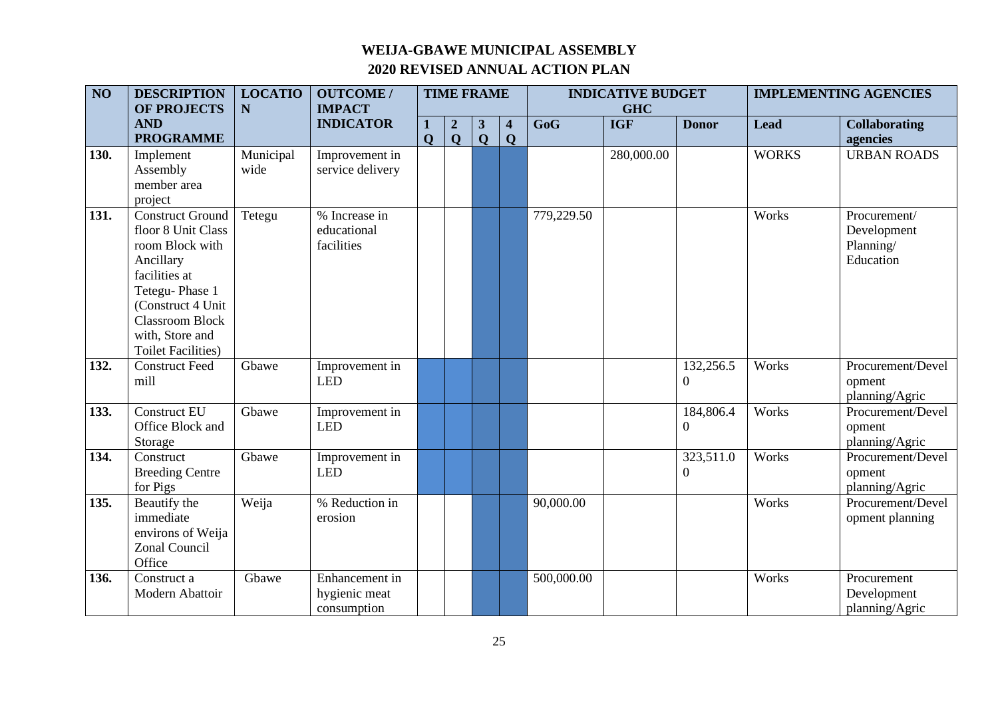| $\overline{NO}$ | <b>DESCRIPTION</b><br><b>OF PROJECTS</b>                                                                                                                                                                         | <b>LOCATIO</b><br>$\mathbf N$ | <b>OUTCOME/</b><br><b>IMPACT</b>               | <b>TIME FRAME</b> |                                 |                             |                                        | <b>INDICATIVE BUDGET</b><br><b>GHC</b> |            |                               | <b>IMPLEMENTING AGENCIES</b> |                                                       |
|-----------------|------------------------------------------------------------------------------------------------------------------------------------------------------------------------------------------------------------------|-------------------------------|------------------------------------------------|-------------------|---------------------------------|-----------------------------|----------------------------------------|----------------------------------------|------------|-------------------------------|------------------------------|-------------------------------------------------------|
|                 | <b>AND</b><br><b>PROGRAMME</b>                                                                                                                                                                                   |                               | <b>INDICATOR</b>                               | $\mathbf Q$       | $\boldsymbol{2}$<br>$\mathbf Q$ | $\mathbf{3}$<br>$\mathbf Q$ | $\overline{\mathbf{4}}$<br>$\mathbf Q$ | GoG                                    | <b>IGF</b> | <b>Donor</b>                  | <b>Lead</b>                  | <b>Collaborating</b><br>agencies                      |
| 130.            | Implement<br>Assembly<br>member area<br>project                                                                                                                                                                  | Municipal<br>wide             | Improvement in<br>service delivery             |                   |                                 |                             |                                        |                                        | 280,000.00 |                               | <b>WORKS</b>                 | <b>URBAN ROADS</b>                                    |
| 131.            | <b>Construct Ground</b><br>floor 8 Unit Class<br>room Block with<br>Ancillary<br>facilities at<br>Tetegu-Phase 1<br>(Construct 4 Unit)<br><b>Classroom Block</b><br>with, Store and<br><b>Toilet Facilities)</b> | Tetegu                        | % Increase in<br>educational<br>facilities     |                   |                                 |                             |                                        | 779,229.50                             |            |                               | Works                        | Procurement/<br>Development<br>Planning/<br>Education |
| 132.            | <b>Construct Feed</b><br>mill                                                                                                                                                                                    | Gbawe                         | Improvement in<br><b>LED</b>                   |                   |                                 |                             |                                        |                                        |            | 132,256.5<br>$\boldsymbol{0}$ | Works                        | Procurement/Devel<br>opment<br>planning/Agric         |
| 133.            | <b>Construct EU</b><br>Office Block and<br>Storage                                                                                                                                                               | Gbawe                         | Improvement in<br><b>LED</b>                   |                   |                                 |                             |                                        |                                        |            | 184,806.4<br>$\boldsymbol{0}$ | Works                        | Procurement/Devel<br>opment<br>planning/Agric         |
| 134.            | Construct<br><b>Breeding Centre</b><br>for Pigs                                                                                                                                                                  | Gbawe                         | Improvement in<br><b>LED</b>                   |                   |                                 |                             |                                        |                                        |            | 323,511.0<br>$\theta$         | Works                        | Procurement/Devel<br>opment<br>planning/Agric         |
| 135.            | Beautify the<br>immediate<br>environs of Weija<br>Zonal Council<br>Office                                                                                                                                        | Weija                         | % Reduction in<br>erosion                      |                   |                                 |                             |                                        | 90,000.00                              |            |                               | Works                        | Procurement/Devel<br>opment planning                  |
| 136.            | Construct a<br>Modern Abattoir                                                                                                                                                                                   | Gbawe                         | Enhancement in<br>hygienic meat<br>consumption |                   |                                 |                             |                                        | 500,000.00                             |            |                               | Works                        | Procurement<br>Development<br>planning/Agric          |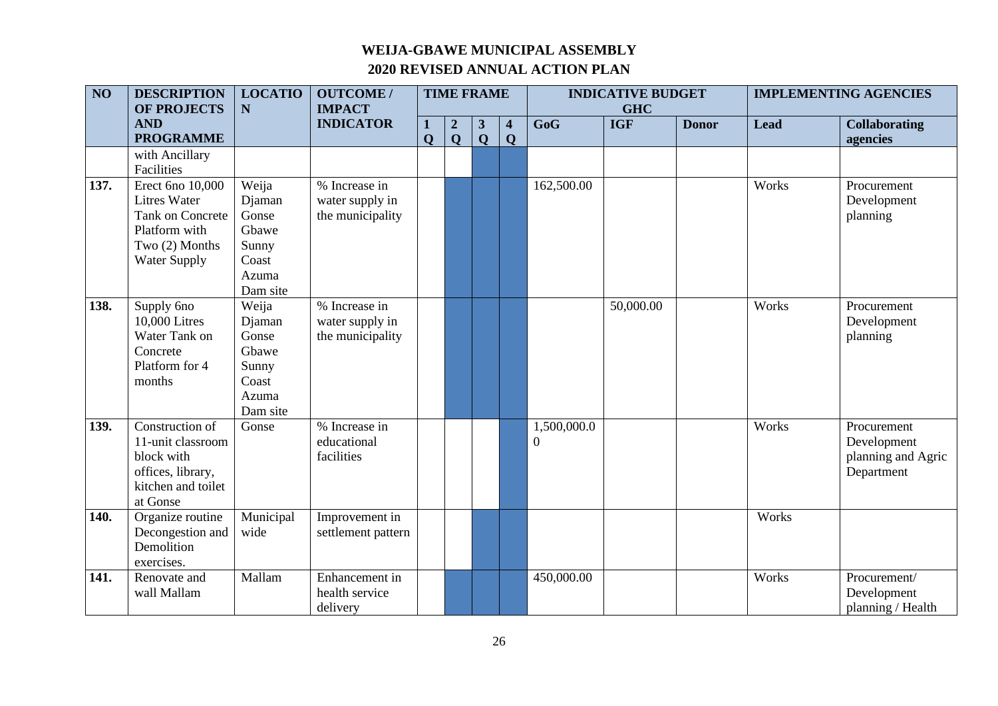| $\overline{NO}$ | <b>DESCRIPTION</b><br>OF PROJECTS                                                                                     | <b>LOCATIO</b><br>N                                                      | <b>OUTCOME/</b><br><b>IMPACT</b>                     | <b>TIME FRAME</b> |                                 |                                |                              | <b>INDICATIVE BUDGET</b><br><b>GHC</b> |            |              | <b>IMPLEMENTING AGENCIES</b> |                                                                |
|-----------------|-----------------------------------------------------------------------------------------------------------------------|--------------------------------------------------------------------------|------------------------------------------------------|-------------------|---------------------------------|--------------------------------|------------------------------|----------------------------------------|------------|--------------|------------------------------|----------------------------------------------------------------|
|                 | <b>AND</b><br><b>PROGRAMME</b>                                                                                        |                                                                          | <b>INDICATOR</b>                                     | $\mathbf{O}$      | $\boldsymbol{2}$<br>$\mathbf 0$ | $\mathbf{3}$<br>$\overline{Q}$ | $\overline{\mathbf{4}}$<br>Q | GoG                                    | <b>IGF</b> | <b>Donor</b> | <b>Lead</b>                  | <b>Collaborating</b><br>agencies                               |
|                 | with Ancillary<br>Facilities                                                                                          |                                                                          |                                                      |                   |                                 |                                |                              |                                        |            |              |                              |                                                                |
| 137.            | Erect 6no 10,000<br><b>Litres Water</b><br>Tank on Concrete<br>Platform with<br>Two (2) Months<br><b>Water Supply</b> | Weija<br>Djaman<br>Gonse<br>Gbawe<br>Sunny<br>Coast<br>Azuma<br>Dam site | % Increase in<br>water supply in<br>the municipality |                   |                                 |                                |                              | 162,500.00                             |            |              | Works                        | Procurement<br>Development<br>planning                         |
| 138.            | Supply 6no<br>10,000 Litres<br>Water Tank on<br>Concrete<br>Platform for 4<br>months                                  | Weija<br>Djaman<br>Gonse<br>Gbawe<br>Sunny<br>Coast<br>Azuma<br>Dam site | % Increase in<br>water supply in<br>the municipality |                   |                                 |                                |                              |                                        | 50,000.00  |              | Works                        | Procurement<br>Development<br>planning                         |
| 139.            | Construction of<br>11-unit classroom<br>block with<br>offices, library,<br>kitchen and toilet<br>at Gonse             | Gonse                                                                    | % Increase in<br>educational<br>facilities           |                   |                                 |                                |                              | 1,500,000.0<br>$\overline{0}$          |            |              | Works                        | Procurement<br>Development<br>planning and Agric<br>Department |
| 140.            | Organize routine<br>Decongestion and<br>Demolition<br>exercises.                                                      | Municipal<br>wide                                                        | Improvement in<br>settlement pattern                 |                   |                                 |                                |                              |                                        |            |              | Works                        |                                                                |
| 141.            | Renovate and<br>wall Mallam                                                                                           | Mallam                                                                   | Enhancement in<br>health service<br>delivery         |                   |                                 |                                |                              | 450,000.00                             |            |              | Works                        | Procurement/<br>Development<br>planning / Health               |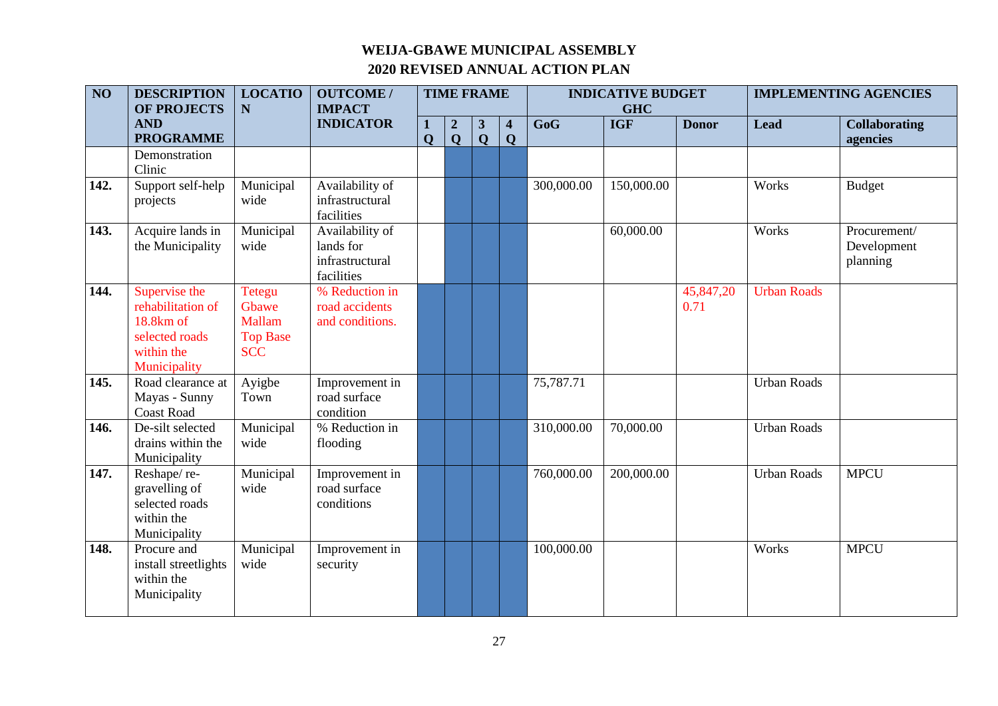| $\overline{NO}$ | <b>DESCRIPTION</b><br>OF PROJECTS                                                               | <b>LOCATIO</b><br>$\mathbf N$                                     | <b>OUTCOME/</b><br><b>IMPACT</b>                              |             |                                 | <b>TIME FRAME</b><br><b>INDICATIVE BUDGET</b><br><b>GHC</b> |                              |            |            | <b>IMPLEMENTING AGENCIES</b> |                    |                                         |
|-----------------|-------------------------------------------------------------------------------------------------|-------------------------------------------------------------------|---------------------------------------------------------------|-------------|---------------------------------|-------------------------------------------------------------|------------------------------|------------|------------|------------------------------|--------------------|-----------------------------------------|
|                 | <b>AND</b><br><b>PROGRAMME</b>                                                                  |                                                                   | <b>INDICATOR</b>                                              | $\mathbf 0$ | $\boldsymbol{2}$<br>$\mathbf Q$ | $\mathbf{3}$<br>$\overline{\mathbf{Q}}$                     | $\overline{\mathbf{4}}$<br>Q | GoG        | <b>IGF</b> | <b>Donor</b>                 | <b>Lead</b>        | <b>Collaborating</b><br>agencies        |
|                 | Demonstration<br>Clinic                                                                         |                                                                   |                                                               |             |                                 |                                                             |                              |            |            |                              |                    |                                         |
| 142.            | Support self-help<br>projects                                                                   | Municipal<br>wide                                                 | Availability of<br>infrastructural<br>facilities              |             |                                 |                                                             |                              | 300,000.00 | 150,000.00 |                              | Works              | <b>Budget</b>                           |
| 143.            | Acquire lands in<br>the Municipality                                                            | Municipal<br>wide                                                 | Availability of<br>lands for<br>infrastructural<br>facilities |             |                                 |                                                             |                              |            | 60,000.00  |                              | Works              | Procurement/<br>Development<br>planning |
| 144.            | Supervise the<br>rehabilitation of<br>18.8km of<br>selected roads<br>within the<br>Municipality | <b>Tetegu</b><br>Gbawe<br>Mallam<br><b>Top Base</b><br><b>SCC</b> | % Reduction in<br>road accidents<br>and conditions.           |             |                                 |                                                             |                              |            |            | 45,847,20<br>0.71            | <b>Urban Roads</b> |                                         |
| 145.            | Road clearance at<br>Mayas - Sunny<br><b>Coast Road</b>                                         | Ayigbe<br>Town                                                    | Improvement in<br>road surface<br>condition                   |             |                                 |                                                             |                              | 75,787.71  |            |                              | <b>Urban Roads</b> |                                         |
| 146.            | De-silt selected<br>drains within the<br>Municipality                                           | Municipal<br>wide                                                 | % Reduction in<br>flooding                                    |             |                                 |                                                             |                              | 310,000.00 | 70,000.00  |                              | <b>Urban Roads</b> |                                         |
| 147.            | Reshape/re-<br>gravelling of<br>selected roads<br>within the<br>Municipality                    | Municipal<br>wide                                                 | Improvement in<br>road surface<br>conditions                  |             |                                 |                                                             |                              | 760,000.00 | 200,000.00 |                              | <b>Urban Roads</b> | <b>MPCU</b>                             |
| 148.            | Procure and<br>install streetlights<br>within the<br>Municipality                               | Municipal<br>wide                                                 | Improvement in<br>security                                    |             |                                 |                                                             |                              | 100,000.00 |            |                              | Works              | <b>MPCU</b>                             |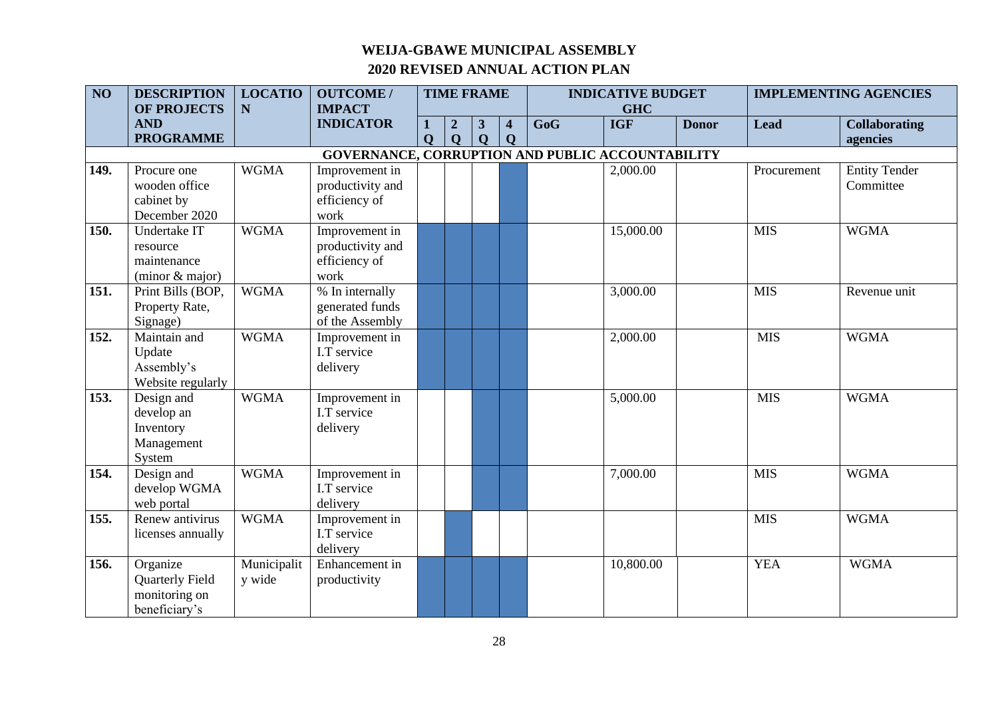| $\overline{NO}$ | <b>DESCRIPTION</b>             | <b>LOCATIO</b> | <b>OUTCOME/</b>                                         |             |                  | <b>TIME FRAME</b> |                                        | <b>INDICATIVE BUDGET</b><br><b>GHC</b> |            |              | <b>IMPLEMENTING AGENCIES</b> |                                  |
|-----------------|--------------------------------|----------------|---------------------------------------------------------|-------------|------------------|-------------------|----------------------------------------|----------------------------------------|------------|--------------|------------------------------|----------------------------------|
|                 | <b>OF PROJECTS</b>             | N              | <b>IMPACT</b>                                           |             |                  |                   |                                        |                                        |            |              |                              |                                  |
|                 | <b>AND</b><br><b>PROGRAMME</b> |                | <b>INDICATOR</b>                                        |             | $\boldsymbol{2}$ | 3<br>$\mathbf 0$  | $\overline{\mathbf{4}}$<br>$\mathbf 0$ | GoG                                    | <b>IGF</b> | <b>Donor</b> | <b>Lead</b>                  | <b>Collaborating</b><br>agencies |
|                 |                                |                |                                                         | $\mathbf 0$ | $\mathbf Q$      |                   |                                        |                                        |            |              |                              |                                  |
|                 |                                |                | <b>GOVERNANCE, CORRUPTION AND PUBLIC ACCOUNTABILITY</b> |             |                  |                   |                                        |                                        |            |              |                              |                                  |
| 149.            | Procure one                    | <b>WGMA</b>    | Improvement in                                          |             |                  |                   |                                        |                                        | 2,000.00   |              | Procurement                  | <b>Entity Tender</b>             |
|                 | wooden office                  |                | productivity and                                        |             |                  |                   |                                        |                                        |            |              |                              | Committee                        |
|                 | cabinet by                     |                | efficiency of                                           |             |                  |                   |                                        |                                        |            |              |                              |                                  |
|                 | December 2020                  |                | work                                                    |             |                  |                   |                                        |                                        |            |              |                              |                                  |
| 150.            | Undertake IT                   | <b>WGMA</b>    | Improvement in                                          |             |                  |                   |                                        |                                        | 15,000.00  |              | <b>MIS</b>                   | <b>WGMA</b>                      |
|                 | resource                       |                | productivity and                                        |             |                  |                   |                                        |                                        |            |              |                              |                                  |
|                 | maintenance                    |                | efficiency of                                           |             |                  |                   |                                        |                                        |            |              |                              |                                  |
|                 | (minor & major)                |                | work                                                    |             |                  |                   |                                        |                                        |            |              |                              |                                  |
| 151.            | Print Bills (BOP,              | <b>WGMA</b>    | % In internally                                         |             |                  |                   |                                        |                                        | 3,000.00   |              | <b>MIS</b>                   | Revenue unit                     |
|                 | Property Rate,                 |                | generated funds                                         |             |                  |                   |                                        |                                        |            |              |                              |                                  |
|                 | Signage)                       |                | of the Assembly                                         |             |                  |                   |                                        |                                        |            |              |                              |                                  |
| 152.            | Maintain and                   | <b>WGMA</b>    | Improvement in                                          |             |                  |                   |                                        |                                        | 2,000.00   |              | <b>MIS</b>                   | <b>WGMA</b>                      |
|                 | Update                         |                | I.T service                                             |             |                  |                   |                                        |                                        |            |              |                              |                                  |
|                 | Assembly's                     |                | delivery                                                |             |                  |                   |                                        |                                        |            |              |                              |                                  |
|                 | Website regularly              |                |                                                         |             |                  |                   |                                        |                                        |            |              |                              |                                  |
| 153.            | Design and                     | <b>WGMA</b>    | Improvement in                                          |             |                  |                   |                                        |                                        | 5,000.00   |              | <b>MIS</b>                   | <b>WGMA</b>                      |
|                 | develop an                     |                | I.T service                                             |             |                  |                   |                                        |                                        |            |              |                              |                                  |
|                 | Inventory                      |                | delivery                                                |             |                  |                   |                                        |                                        |            |              |                              |                                  |
|                 | Management                     |                |                                                         |             |                  |                   |                                        |                                        |            |              |                              |                                  |
|                 | System                         |                |                                                         |             |                  |                   |                                        |                                        |            |              |                              |                                  |
| 154.            | Design and                     | <b>WGMA</b>    | Improvement in                                          |             |                  |                   |                                        |                                        | 7,000.00   |              | <b>MIS</b>                   | <b>WGMA</b>                      |
|                 | develop WGMA                   |                | I.T service                                             |             |                  |                   |                                        |                                        |            |              |                              |                                  |
|                 | web portal                     |                | delivery                                                |             |                  |                   |                                        |                                        |            |              |                              |                                  |
| 155.            | Renew antivirus                | <b>WGMA</b>    | Improvement in                                          |             |                  |                   |                                        |                                        |            |              | <b>MIS</b>                   | <b>WGMA</b>                      |
|                 | licenses annually              |                | I.T service                                             |             |                  |                   |                                        |                                        |            |              |                              |                                  |
|                 |                                |                | delivery                                                |             |                  |                   |                                        |                                        |            |              |                              |                                  |
| 156.            | Organize                       | Municipalit    | Enhancement in                                          |             |                  |                   |                                        |                                        | 10,800.00  |              | <b>YEA</b>                   | <b>WGMA</b>                      |
|                 | <b>Quarterly Field</b>         | y wide         | productivity                                            |             |                  |                   |                                        |                                        |            |              |                              |                                  |
|                 | monitoring on                  |                |                                                         |             |                  |                   |                                        |                                        |            |              |                              |                                  |
|                 | beneficiary's                  |                |                                                         |             |                  |                   |                                        |                                        |            |              |                              |                                  |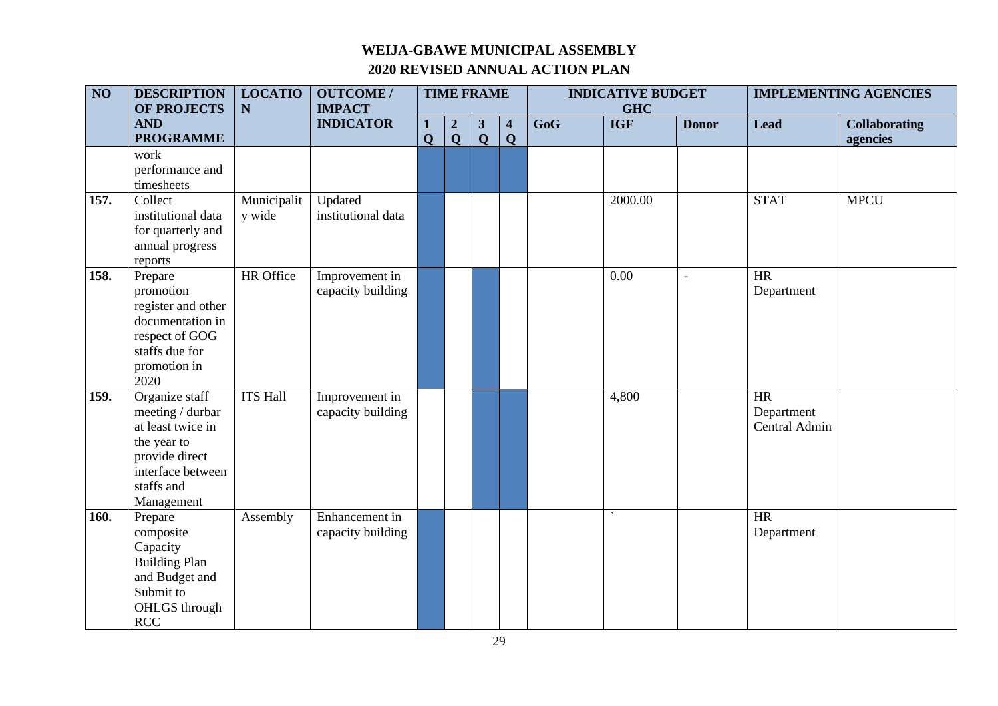| $\overline{NO}$ | <b>DESCRIPTION</b><br>OF PROJECTS                                                                                                         | <b>LOCATIO</b><br>N   | <b>OUTCOME/</b><br><b>IMPACT</b>    | <b>TIME FRAME</b> |                                  |                                         |                              | <b>INDICATIVE BUDGET</b><br><b>GHC</b> |                          |              | <b>IMPLEMENTING AGENCIES</b>      |                                  |
|-----------------|-------------------------------------------------------------------------------------------------------------------------------------------|-----------------------|-------------------------------------|-------------------|----------------------------------|-----------------------------------------|------------------------------|----------------------------------------|--------------------------|--------------|-----------------------------------|----------------------------------|
|                 | <b>AND</b><br><b>PROGRAMME</b>                                                                                                            |                       | <b>INDICATOR</b>                    | 1<br>$\mathbf Q$  | $\boldsymbol{2}$<br>$\mathbf{Q}$ | $\mathbf{3}$<br>$\overline{\mathbf{Q}}$ | $\overline{\mathbf{4}}$<br>Q | $\overline{\text{GoG}}$                | <b>IGF</b>               | <b>Donor</b> | <b>Lead</b>                       | <b>Collaborating</b><br>agencies |
|                 | work<br>performance and<br>timesheets                                                                                                     |                       |                                     |                   |                                  |                                         |                              |                                        |                          |              |                                   |                                  |
| 157.            | Collect<br>institutional data<br>for quarterly and<br>annual progress<br>reports                                                          | Municipalit<br>y wide | Updated<br>institutional data       |                   |                                  |                                         |                              |                                        | 2000.00                  |              | <b>STAT</b>                       | <b>MPCU</b>                      |
| 158.            | Prepare<br>promotion<br>register and other<br>documentation in<br>respect of GOG<br>staffs due for<br>promotion in<br>2020                | HR Office             | Improvement in<br>capacity building |                   |                                  |                                         |                              |                                        | 0.00                     | $\Box$       | <b>HR</b><br>Department           |                                  |
| 159.            | Organize staff<br>meeting / durbar<br>at least twice in<br>the year to<br>provide direct<br>interface between<br>staffs and<br>Management | <b>ITS Hall</b>       | Improvement in<br>capacity building |                   |                                  |                                         |                              |                                        | 4,800                    |              | HR<br>Department<br>Central Admin |                                  |
| 160.            | Prepare<br>composite<br>Capacity<br><b>Building Plan</b><br>and Budget and<br>Submit to<br>OHLGS through<br>RCC                           | Assembly              | Enhancement in<br>capacity building |                   |                                  |                                         |                              |                                        | $\overline{\phantom{a}}$ |              | <b>HR</b><br>Department           |                                  |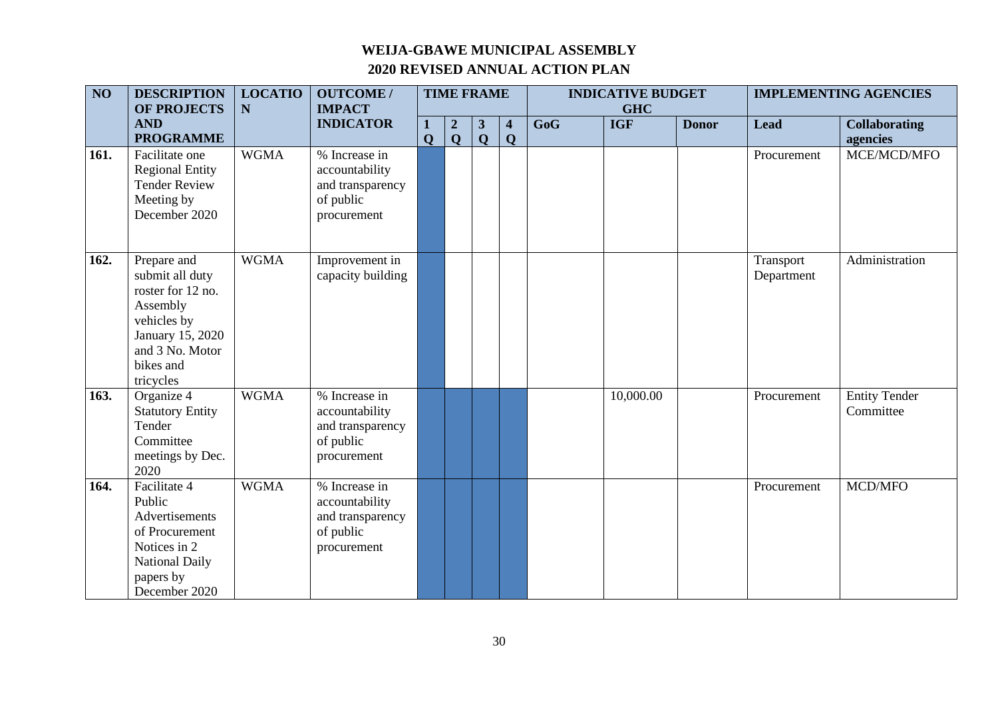| $\overline{NO}$ | <b>DESCRIPTION</b><br><b>OF PROJECTS</b>                                                                                                        | <b>LOCATIO</b><br>N | <b>OUTCOME/</b><br><b>IMPACT</b>                                                | <b>TIME FRAME</b> |                                 |                  | <b>INDICATIVE BUDGET</b><br><b>GHC</b> |     |            | <b>IMPLEMENTING AGENCIES</b> |                         |                                   |
|-----------------|-------------------------------------------------------------------------------------------------------------------------------------------------|---------------------|---------------------------------------------------------------------------------|-------------------|---------------------------------|------------------|----------------------------------------|-----|------------|------------------------------|-------------------------|-----------------------------------|
|                 | <b>AND</b><br><b>PROGRAMME</b>                                                                                                                  |                     | <b>INDICATOR</b>                                                                | 1<br>$\mathbf 0$  | $\boldsymbol{2}$<br>$\mathbf Q$ | 3<br>$\mathbf Q$ | $\overline{\mathbf{4}}$<br>Q           | GoG | <b>IGF</b> | <b>Donor</b>                 | <b>Lead</b>             | <b>Collaborating</b><br>agencies  |
| 161.            | Facilitate one<br><b>Regional Entity</b><br><b>Tender Review</b><br>Meeting by<br>December 2020                                                 | <b>WGMA</b>         | % Increase in<br>accountability<br>and transparency<br>of public<br>procurement |                   |                                 |                  |                                        |     |            |                              | Procurement             | MCE/MCD/MFO                       |
| 162.            | Prepare and<br>submit all duty<br>roster for 12 no.<br>Assembly<br>vehicles by<br>January 15, 2020<br>and 3 No. Motor<br>bikes and<br>tricycles | <b>WGMA</b>         | Improvement in<br>capacity building                                             |                   |                                 |                  |                                        |     |            |                              | Transport<br>Department | Administration                    |
| 163.            | Organize 4<br><b>Statutory Entity</b><br>Tender<br>Committee<br>meetings by Dec.<br>2020                                                        | <b>WGMA</b>         | % Increase in<br>accountability<br>and transparency<br>of public<br>procurement |                   |                                 |                  |                                        |     | 10,000.00  |                              | Procurement             | <b>Entity Tender</b><br>Committee |
| 164.            | Facilitate 4<br>Public<br>Advertisements<br>of Procurement<br>Notices in 2<br>National Daily<br>papers by<br>December 2020                      | <b>WGMA</b>         | % Increase in<br>accountability<br>and transparency<br>of public<br>procurement |                   |                                 |                  |                                        |     |            |                              | Procurement             | MCD/MFO                           |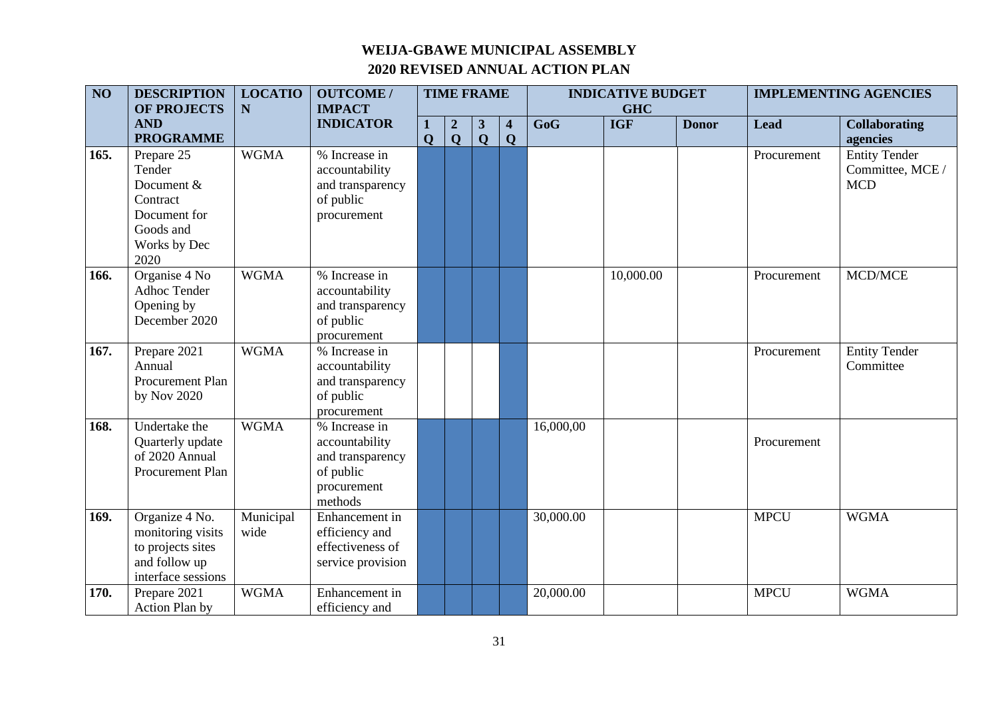| $\overline{NO}$ | <b>DESCRIPTION</b>                                                                                  | <b>LOCATIO</b><br>$\mathbf N$ | <b>OUTCOME/</b><br><b>IMPACT</b>                                                           |              | <b>TIME FRAME</b> |              |             |           | <b>INDICATIVE BUDGET</b> |              |             | <b>IMPLEMENTING AGENCIES</b>                           |
|-----------------|-----------------------------------------------------------------------------------------------------|-------------------------------|--------------------------------------------------------------------------------------------|--------------|-------------------|--------------|-------------|-----------|--------------------------|--------------|-------------|--------------------------------------------------------|
|                 | <b>OF PROJECTS</b><br><b>AND</b>                                                                    |                               | <b>INDICATOR</b>                                                                           |              | $\boldsymbol{2}$  | 3            | 4           | GoG       | <b>GHC</b><br><b>IGF</b> | <b>Donor</b> | <b>Lead</b> | <b>Collaborating</b>                                   |
|                 | <b>PROGRAMME</b>                                                                                    |                               |                                                                                            | $\mathbf{O}$ | $\mathbf Q$       | $\mathbf{Q}$ | $\mathbf Q$ |           |                          |              |             | agencies                                               |
| 165.            | Prepare 25<br>Tender<br>Document &<br>Contract<br>Document for<br>Goods and<br>Works by Dec<br>2020 | <b>WGMA</b>                   | % Increase in<br>accountability<br>and transparency<br>of public<br>procurement            |              |                   |              |             |           |                          |              | Procurement | <b>Entity Tender</b><br>Committee, MCE /<br><b>MCD</b> |
| 166.            | Organise 4 No<br>Adhoc Tender<br>Opening by<br>December 2020                                        | <b>WGMA</b>                   | % Increase in<br>accountability<br>and transparency<br>of public<br>procurement            |              |                   |              |             |           | 10,000.00                |              | Procurement | MCD/MCE                                                |
| 167.            | Prepare 2021<br>Annual<br><b>Procurement Plan</b><br>by Nov 2020                                    | <b>WGMA</b>                   | % Increase in<br>accountability<br>and transparency<br>of public<br>procurement            |              |                   |              |             |           |                          |              | Procurement | <b>Entity Tender</b><br>Committee                      |
| 168.            | Undertake the<br>Quarterly update<br>of 2020 Annual<br>Procurement Plan                             | <b>WGMA</b>                   | % Increase in<br>accountability<br>and transparency<br>of public<br>procurement<br>methods |              |                   |              |             | 16,000,00 |                          |              | Procurement |                                                        |
| 169.            | Organize 4 No.<br>monitoring visits<br>to projects sites<br>and follow up<br>interface sessions     | Municipal<br>wide             | Enhancement in<br>efficiency and<br>effectiveness of<br>service provision                  |              |                   |              |             | 30,000.00 |                          |              | <b>MPCU</b> | <b>WGMA</b>                                            |
| 170.            | Prepare 2021<br>Action Plan by                                                                      | <b>WGMA</b>                   | Enhancement in<br>efficiency and                                                           |              |                   |              |             | 20,000.00 |                          |              | <b>MPCU</b> | <b>WGMA</b>                                            |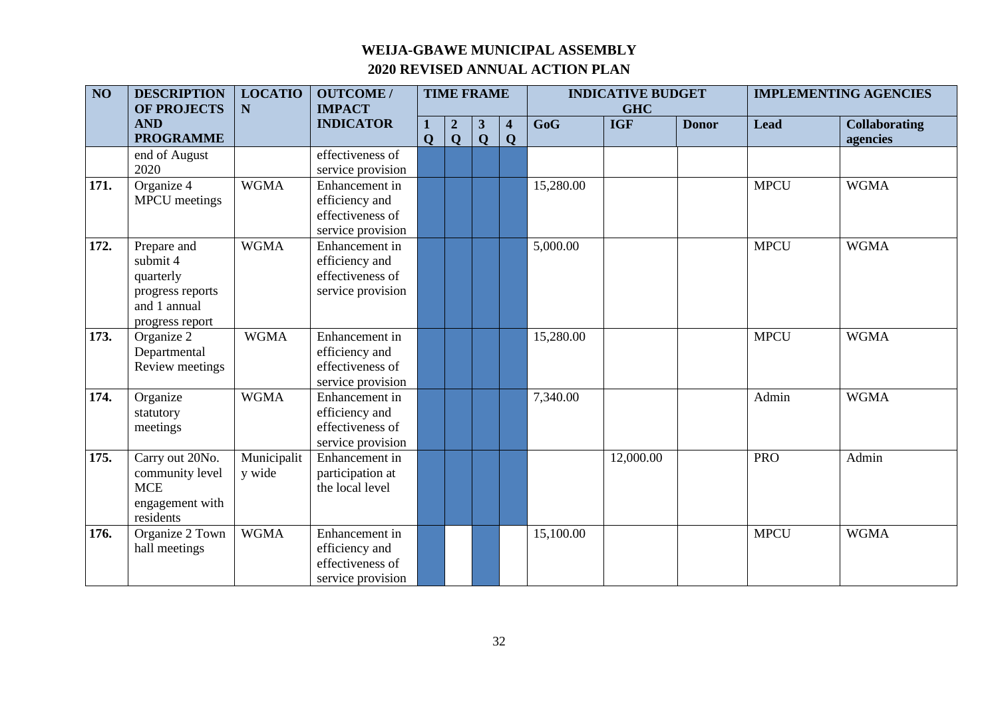| $\overline{NO}$ | <b>DESCRIPTION</b><br><b>OF PROJECTS</b>                                                    | <b>LOCATIO</b><br>N   | <b>OUTCOME/</b><br><b>IMPACT</b>                                          | <b>TIME FRAME</b> |                                 |                              |                                        |           | <b>INDICATIVE BUDGET</b><br><b>GHC</b> |              | <b>IMPLEMENTING AGENCIES</b> |                                  |  |
|-----------------|---------------------------------------------------------------------------------------------|-----------------------|---------------------------------------------------------------------------|-------------------|---------------------------------|------------------------------|----------------------------------------|-----------|----------------------------------------|--------------|------------------------------|----------------------------------|--|
|                 | <b>AND</b><br><b>PROGRAMME</b>                                                              |                       | <b>INDICATOR</b>                                                          | ı<br>$\mathbf 0$  | $\boldsymbol{2}$<br>$\mathbf Q$ | $\mathbf{3}$<br>$\mathbf{Q}$ | $\overline{\mathbf{4}}$<br>$\mathbf Q$ | GoG       | <b>IGF</b>                             | <b>Donor</b> | <b>Lead</b>                  | <b>Collaborating</b><br>agencies |  |
|                 | end of August<br>2020                                                                       |                       | effectiveness of<br>service provision                                     |                   |                                 |                              |                                        |           |                                        |              |                              |                                  |  |
| 171.            | Organize 4<br><b>MPCU</b> meetings                                                          | <b>WGMA</b>           | Enhancement in<br>efficiency and<br>effectiveness of<br>service provision |                   |                                 |                              |                                        | 15,280.00 |                                        |              | <b>MPCU</b>                  | <b>WGMA</b>                      |  |
| 172.            | Prepare and<br>submit 4<br>quarterly<br>progress reports<br>and 1 annual<br>progress report | <b>WGMA</b>           | Enhancement in<br>efficiency and<br>effectiveness of<br>service provision |                   |                                 |                              |                                        | 5,000.00  |                                        |              | <b>MPCU</b>                  | <b>WGMA</b>                      |  |
| 173.            | Organize 2<br>Departmental<br>Review meetings                                               | <b>WGMA</b>           | Enhancement in<br>efficiency and<br>effectiveness of<br>service provision |                   |                                 |                              |                                        | 15,280.00 |                                        |              | <b>MPCU</b>                  | <b>WGMA</b>                      |  |
| 174.            | Organize<br>statutory<br>meetings                                                           | <b>WGMA</b>           | Enhancement in<br>efficiency and<br>effectiveness of<br>service provision |                   |                                 |                              |                                        | 7,340.00  |                                        |              | Admin                        | <b>WGMA</b>                      |  |
| 175.            | Carry out 20No.<br>community level<br><b>MCE</b><br>engagement with<br>residents            | Municipalit<br>y wide | Enhancement in<br>participation at<br>the local level                     |                   |                                 |                              |                                        |           | 12,000.00                              |              | <b>PRO</b>                   | Admin                            |  |
| 176.            | Organize 2 Town<br>hall meetings                                                            | <b>WGMA</b>           | Enhancement in<br>efficiency and<br>effectiveness of<br>service provision |                   |                                 |                              |                                        | 15,100.00 |                                        |              | <b>MPCU</b>                  | <b>WGMA</b>                      |  |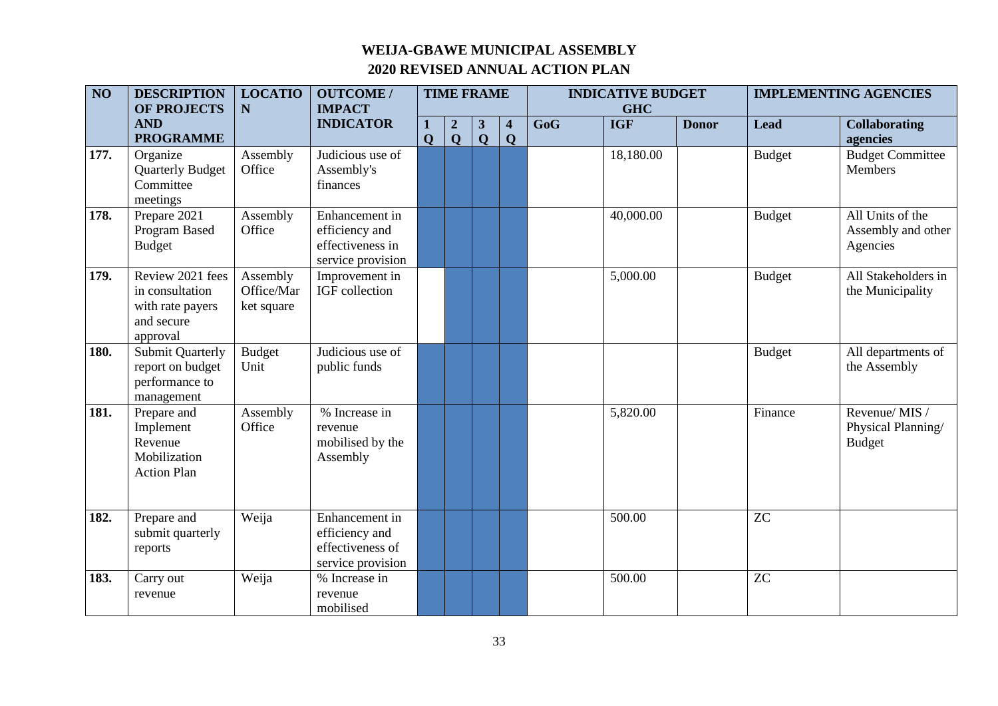| $\overline{NO}$ | <b>DESCRIPTION</b><br><b>OF PROJECTS</b>                                          | <b>LOCATIO</b><br>N                  | <b>OUTCOME/</b><br><b>IMPACT</b>                                          |              |                                 | <b>TIME FRAME</b>            |                                        |     | <b>INDICATIVE BUDGET</b><br><b>GHC</b> |              |               | <b>IMPLEMENTING AGENCIES</b>                         |
|-----------------|-----------------------------------------------------------------------------------|--------------------------------------|---------------------------------------------------------------------------|--------------|---------------------------------|------------------------------|----------------------------------------|-----|----------------------------------------|--------------|---------------|------------------------------------------------------|
|                 | <b>AND</b><br><b>PROGRAMME</b>                                                    |                                      | <b>INDICATOR</b>                                                          | $\mathbf{O}$ | $\boldsymbol{2}$<br>$\mathbf Q$ | $\mathbf{3}$<br>$\mathbf{Q}$ | $\overline{\mathbf{4}}$<br>$\mathbf Q$ | GoG | <b>IGF</b>                             | <b>Donor</b> | <b>Lead</b>   | <b>Collaborating</b><br>agencies                     |
| 177.            | Organize<br><b>Quarterly Budget</b><br>Committee<br>meetings                      | Assembly<br>Office                   | Judicious use of<br>Assembly's<br>finances                                |              |                                 |                              |                                        |     | 18,180.00                              |              | <b>Budget</b> | <b>Budget Committee</b><br><b>Members</b>            |
| 178.            | Prepare 2021<br>Program Based<br><b>Budget</b>                                    | Assembly<br>Office                   | Enhancement in<br>efficiency and<br>effectiveness in<br>service provision |              |                                 |                              |                                        |     | 40,000.00                              |              | <b>Budget</b> | All Units of the<br>Assembly and other<br>Agencies   |
| 179.            | Review 2021 fees<br>in consultation<br>with rate payers<br>and secure<br>approval | Assembly<br>Office/Mar<br>ket square | Improvement in<br>IGF collection                                          |              |                                 |                              |                                        |     | 5,000.00                               |              | <b>Budget</b> | All Stakeholders in<br>the Municipality              |
| 180.            | <b>Submit Quarterly</b><br>report on budget<br>performance to<br>management       | <b>Budget</b><br>Unit                | Judicious use of<br>public funds                                          |              |                                 |                              |                                        |     |                                        |              | <b>Budget</b> | All departments of<br>the Assembly                   |
| 181.            | Prepare and<br>Implement<br>Revenue<br>Mobilization<br><b>Action Plan</b>         | Assembly<br>Office                   | % Increase in<br>revenue<br>mobilised by the<br>Assembly                  |              |                                 |                              |                                        |     | 5,820.00                               |              | Finance       | Revenue/MIS /<br>Physical Planning/<br><b>Budget</b> |
| 182.            | Prepare and<br>submit quarterly<br>reports                                        | Weija                                | Enhancement in<br>efficiency and<br>effectiveness of<br>service provision |              |                                 |                              |                                        |     | 500.00                                 |              | <b>ZC</b>     |                                                      |
| 183.            | Carry out<br>revenue                                                              | Weija                                | % Increase in<br>revenue<br>mobilised                                     |              |                                 |                              |                                        |     | 500.00                                 |              | <b>ZC</b>     |                                                      |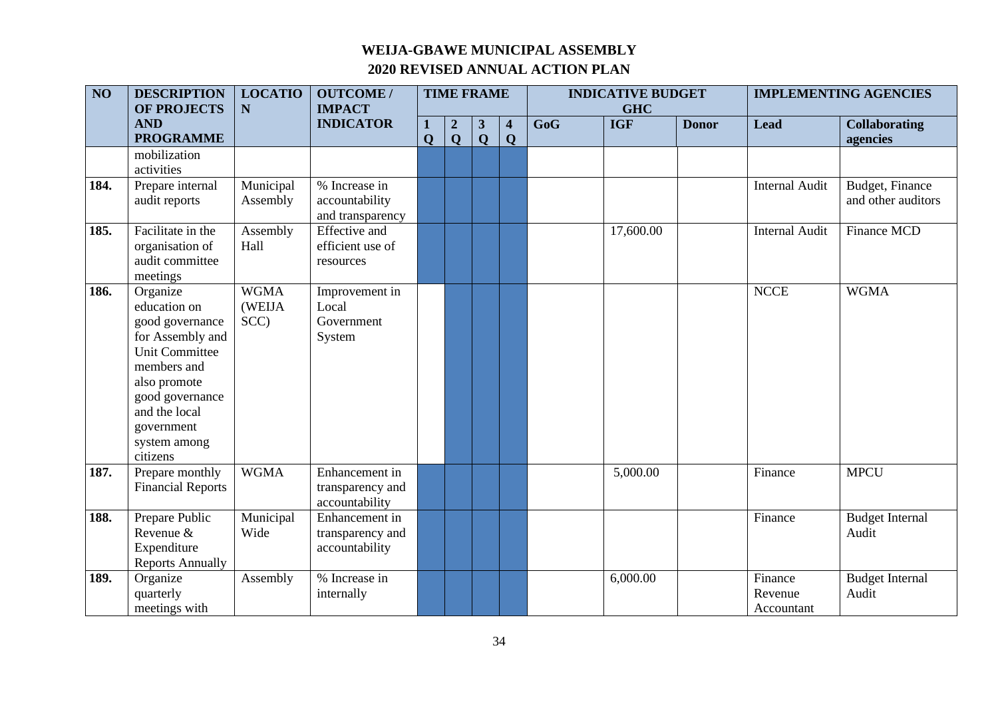| $\overline{NO}$ | <b>DESCRIPTION</b><br><b>OF PROJECTS</b>                                                                                                                                                              | <b>LOCATIO</b><br>N           | <b>OUTCOME/</b><br><b>IMPACT</b>                      |              | <b>TIME FRAME</b>               |                   |                  | <b>INDICATIVE BUDGET</b><br><b>GHC</b> |            |              | <b>IMPLEMENTING AGENCIES</b>     |                                       |
|-----------------|-------------------------------------------------------------------------------------------------------------------------------------------------------------------------------------------------------|-------------------------------|-------------------------------------------------------|--------------|---------------------------------|-------------------|------------------|----------------------------------------|------------|--------------|----------------------------------|---------------------------------------|
|                 | <b>AND</b><br><b>PROGRAMME</b>                                                                                                                                                                        |                               | <b>INDICATOR</b>                                      | $\mathbf{O}$ | $\boldsymbol{2}$<br>$\mathbf Q$ | 3<br>$\mathbf{Q}$ | 4<br>$\mathbf Q$ | GoG                                    | <b>IGF</b> | <b>Donor</b> | <b>Lead</b>                      | <b>Collaborating</b><br>agencies      |
|                 | mobilization<br>activities                                                                                                                                                                            |                               |                                                       |              |                                 |                   |                  |                                        |            |              |                                  |                                       |
| 184.            | Prepare internal<br>audit reports                                                                                                                                                                     | Municipal<br>Assembly         | % Increase in<br>accountability<br>and transparency   |              |                                 |                   |                  |                                        |            |              | <b>Internal Audit</b>            | Budget, Finance<br>and other auditors |
| 185.            | Facilitate in the<br>organisation of<br>audit committee<br>meetings                                                                                                                                   | Assembly<br>Hall              | <b>Effective</b> and<br>efficient use of<br>resources |              |                                 |                   |                  |                                        | 17,600.00  |              | <b>Internal Audit</b>            | Finance MCD                           |
| 186.            | Organize<br>education on<br>good governance<br>for Assembly and<br><b>Unit Committee</b><br>members and<br>also promote<br>good governance<br>and the local<br>government<br>system among<br>citizens | <b>WGMA</b><br>(WEIJA<br>SCC) | Improvement in<br>Local<br>Government<br>System       |              |                                 |                   |                  |                                        |            |              | <b>NCCE</b>                      | <b>WGMA</b>                           |
| 187.            | Prepare monthly<br><b>Financial Reports</b>                                                                                                                                                           | <b>WGMA</b>                   | Enhancement in<br>transparency and<br>accountability  |              |                                 |                   |                  |                                        | 5,000.00   |              | Finance                          | <b>MPCU</b>                           |
| 188.            | Prepare Public<br>Revenue &<br>Expenditure<br><b>Reports Annually</b>                                                                                                                                 | Municipal<br>Wide             | Enhancement in<br>transparency and<br>accountability  |              |                                 |                   |                  |                                        |            |              | Finance                          | <b>Budget Internal</b><br>Audit       |
| 189.            | Organize<br>quarterly<br>meetings with                                                                                                                                                                | Assembly                      | % Increase in<br>internally                           |              |                                 |                   |                  |                                        | 6,000.00   |              | Finance<br>Revenue<br>Accountant | <b>Budget Internal</b><br>Audit       |